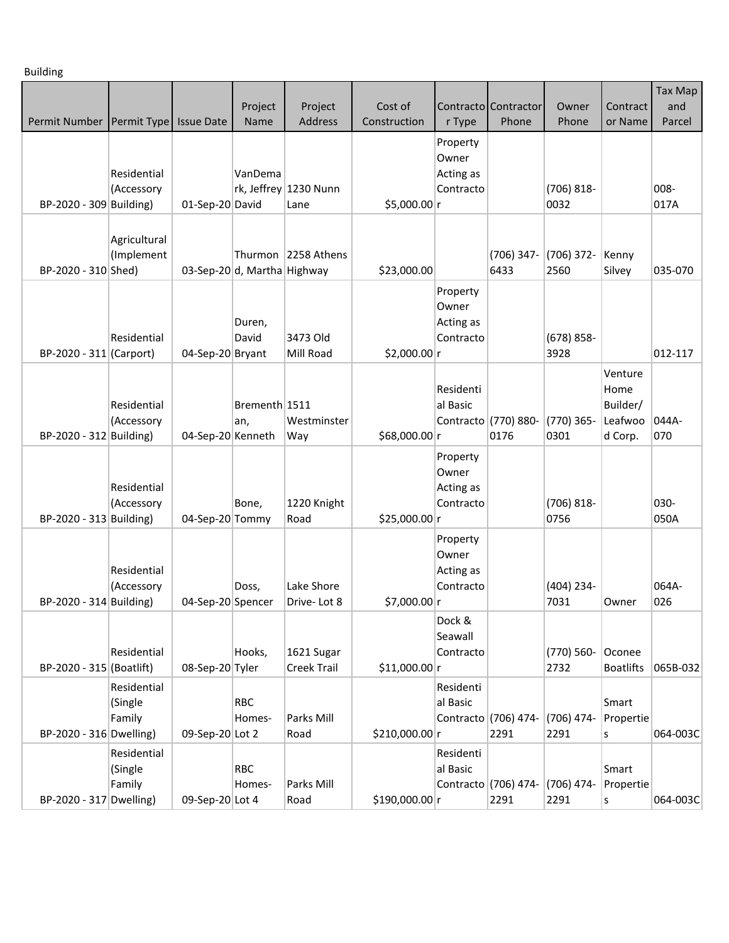Building

|                                          |                                  |                   | Project                     | Project                          | Cost of        |                                             | Contracto Contractor         | Owner                 | Contract                                          | Tax Map<br>and |
|------------------------------------------|----------------------------------|-------------------|-----------------------------|----------------------------------|----------------|---------------------------------------------|------------------------------|-----------------------|---------------------------------------------------|----------------|
| Permit Number   Permit Type   Issue Date |                                  |                   | Name                        | <b>Address</b>                   | Construction   | r Type                                      | Phone                        | Phone                 | or Name                                           | Parcel         |
|                                          | Residential<br>(Accessory        |                   | VanDema                     | rk, Jeffrey 1230 Nunn            |                | Property<br>Owner<br>Acting as<br>Contracto |                              | $(706) 818 -$         |                                                   | 008-           |
| BP-2020 - 309 Building)                  |                                  | 01-Sep-20 David   |                             | Lane                             | \$5,000.00 r   |                                             |                              | 0032                  |                                                   | 017A           |
| BP-2020 - 310 Shed)                      | Agricultural<br>(Implement       |                   | 03-Sep-20 d, Martha Highway | Thurmon 2258 Athens              | \$23,000.00    |                                             | (706) 347-<br>6433           | $(706)$ 372-<br>2560  | Kenny<br>Silvey                                   | 035-070        |
| BP-2020 - 311 (Carport)                  | Residential                      | 04-Sep-20 Bryant  | Duren,<br>David             | 3473 Old<br>Mill Road            | \$2,000.00 r   | Property<br>Owner<br>Acting as<br>Contracto |                              | $(678) 858 -$<br>3928 |                                                   | 012-117        |
| BP-2020 - 312 Building)                  | Residential<br>(Accessory        | 04-Sep-20 Kenneth | Brementh 1511<br>an,        | Westminster<br>Way               | \$68,000.00 r  | Residenti<br>al Basic                       | Contracto (770) 880-<br>0176 | (770) 365-<br>0301    | Venture<br>Home<br>Builder/<br>Leafwoo<br>d Corp. | 044A-<br>070   |
| BP-2020 - 313 Building)                  | Residential<br>(Accessory        | 04-Sep-20 Tommy   | Bone,                       | 1220 Knight<br>Road              | \$25,000.00 r  | Property<br>Owner<br>Acting as<br>Contracto |                              | $(706) 818 -$<br>0756 |                                                   | 030-<br>050A   |
| BP-2020 - 314 Building)                  | Residential<br>(Accessory        | 04-Sep-20 Spencer | Doss,                       | Lake Shore<br>Drive-Lot 8        | \$7,000.00 r   | Property<br>Owner<br>Acting as<br>Contracto |                              | $(404)$ 234-<br>7031  | Owner                                             | 064A-<br>026   |
| BP-2020 - 315 (Boatlift)                 | Residential                      | 08-Sep-20 Tyler   | Hooks,                      | 1621 Sugar<br><b>Creek Trail</b> | \$11,000.00 r  | Dock &<br>Seawall<br>Contracto              |                              | $(770)$ 560-<br>2732  | Oconee<br><b>Boatlifts</b>                        | 065B-032       |
| BP-2020 - 316 Dwelling)                  | Residential<br>(Single<br>Family | 09-Sep-20 Lot 2   | <b>RBC</b><br>Homes-        | Parks Mill<br>Road               | \$210,000.00 r | Residenti<br>al Basic                       | Contracto (706) 474-<br>2291 | (706) 474-<br>2291    | Smart<br>Propertie<br>S                           | 064-003C       |
| BP-2020 - 317 Dwelling)                  | Residential<br>(Single<br>Family | 09-Sep-20 Lot 4   | <b>RBC</b><br>Homes-        | Parks Mill<br>Road               | \$190,000.00 r | Residenti<br>al Basic                       | Contracto (706) 474-<br>2291 | (706) 474-<br>2291    | Smart<br>Propertie<br>S                           | 064-003C       |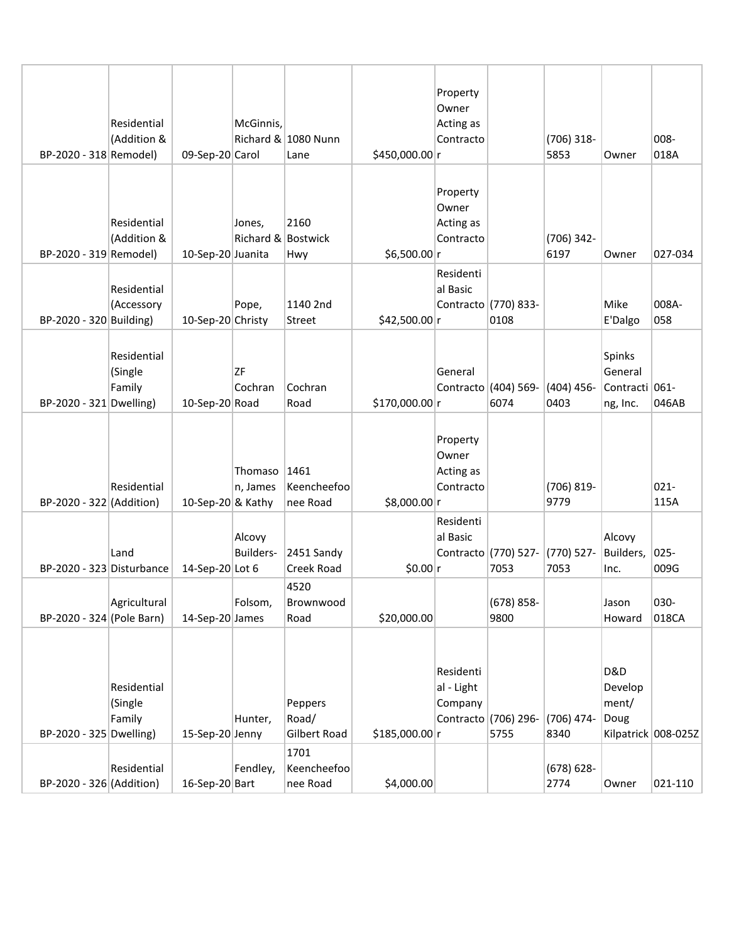|                           |              |                   |                              |                                 |                | Property<br>Owner |                              |                      |                            |                     |
|---------------------------|--------------|-------------------|------------------------------|---------------------------------|----------------|-------------------|------------------------------|----------------------|----------------------------|---------------------|
|                           | Residential  |                   | McGinnis,                    |                                 |                | Acting as         |                              |                      |                            |                     |
|                           | (Addition &  |                   |                              | Richard & 1080 Nunn             |                | Contracto         |                              | $(706)$ 318-         |                            | 008-                |
| BP-2020 - 318 Remodel)    |              | 09-Sep-20 Carol   |                              | Lane                            | \$450,000.00 r |                   |                              | 5853                 | Owner                      | 018A                |
|                           |              |                   |                              |                                 |                |                   |                              |                      |                            |                     |
|                           |              |                   |                              |                                 |                | Property          |                              |                      |                            |                     |
|                           |              |                   |                              |                                 |                | Owner             |                              |                      |                            |                     |
|                           | Residential  |                   | Jones,<br>Richard & Bostwick | 2160                            |                | Acting as         |                              |                      |                            |                     |
| BP-2020 - 319 Remodel)    | (Addition &  | 10-Sep-20 Juanita |                              | Hwy                             | \$6,500.00 r   | Contracto         |                              | (706) 342-<br>6197   | Owner                      | 027-034             |
|                           |              |                   |                              |                                 |                | Residenti         |                              |                      |                            |                     |
|                           | Residential  |                   |                              |                                 |                | al Basic          |                              |                      |                            |                     |
|                           | (Accessory   |                   | Pope,                        | 1140 2nd                        |                |                   | Contracto (770) 833-         |                      | Mike                       | 008A-               |
| BP-2020 - 320 Building)   |              | 10-Sep-20 Christy |                              | <b>Street</b>                   | \$42,500.00 r  |                   | 0108                         |                      | E'Dalgo                    | 058                 |
|                           |              |                   |                              |                                 |                |                   |                              |                      |                            |                     |
|                           | Residential  |                   |                              |                                 |                |                   |                              |                      | Spinks                     |                     |
|                           | (Single      |                   | <b>ZF</b>                    |                                 |                | General           |                              |                      | General                    |                     |
| BP-2020 - 321 Dwelling)   | Family       | 10-Sep-20 Road    | Cochran                      | Cochran<br>Road                 | \$170,000.00 r |                   | Contracto (404) 569-<br>6074 | $(404)$ 456-<br>0403 | Contracti 061-<br>ng, Inc. | 046AB               |
|                           |              |                   |                              |                                 |                |                   |                              |                      |                            |                     |
|                           |              |                   |                              |                                 |                | Property          |                              |                      |                            |                     |
|                           |              |                   |                              |                                 |                | Owner             |                              |                      |                            |                     |
|                           |              |                   | Thomaso                      | 1461                            |                | Acting as         |                              |                      |                            |                     |
|                           | Residential  |                   | n, James                     | Keencheefoo                     |                | Contracto         |                              | (706) 819-           |                            | 021-                |
| BP-2020 - 322 (Addition)  |              | 10-Sep-20 & Kathy |                              | nee Road                        | \$8,000.00 r   |                   |                              | 9779                 |                            | 115A                |
|                           |              |                   |                              |                                 |                | Residenti         |                              |                      |                            |                     |
|                           |              |                   | Alcovy                       |                                 |                | al Basic          |                              |                      | Alcovy                     |                     |
| BP-2020 - 323 Disturbance | Land         | 14-Sep-20 Lot 6   | <b>Builders-</b>             | 2451 Sandy<br><b>Creek Road</b> | \$0.00 r       |                   | Contracto (770) 527-<br>7053 | (770) 527-<br>7053   | Builders,<br>Inc.          | $025 -$<br>009G     |
|                           |              |                   |                              | 4520                            |                |                   |                              |                      |                            |                     |
|                           | Agricultural |                   | Folsom,                      | Brownwood                       |                |                   | (678) 858-                   |                      | Jason                      | 030-                |
| BP-2020 - 324 (Pole Barn) |              | 14-Sep-20 James   |                              | Road                            | \$20,000.00    |                   | 9800                         |                      | Howard                     | 018CA               |
|                           |              |                   |                              |                                 |                |                   |                              |                      |                            |                     |
|                           |              |                   |                              |                                 |                |                   |                              |                      |                            |                     |
|                           |              |                   |                              |                                 |                | Residenti         |                              |                      | <b>D&amp;D</b>             |                     |
|                           | Residential  |                   |                              |                                 |                | al - Light        |                              |                      | Develop                    |                     |
|                           | (Single      |                   |                              | Peppers                         |                | Company           |                              |                      | ment/                      |                     |
| BP-2020 - 325 Dwelling)   | Family       | 15-Sep-20 Jenny   | Hunter,                      | Road/<br>Gilbert Road           | \$185,000.00 r |                   | Contracto (706) 296-<br>5755 | (706) 474-<br>8340   | Doug                       | Kilpatrick 008-025Z |
|                           |              |                   |                              | 1701                            |                |                   |                              |                      |                            |                     |
|                           | Residential  |                   | Fendley,                     | Keencheefoo                     |                |                   |                              | $(678) 628 -$        |                            |                     |
| BP-2020 - 326 (Addition)  |              | 16-Sep-20 Bart    |                              | nee Road                        | \$4,000.00     |                   |                              | 2774                 | Owner                      | 021-110             |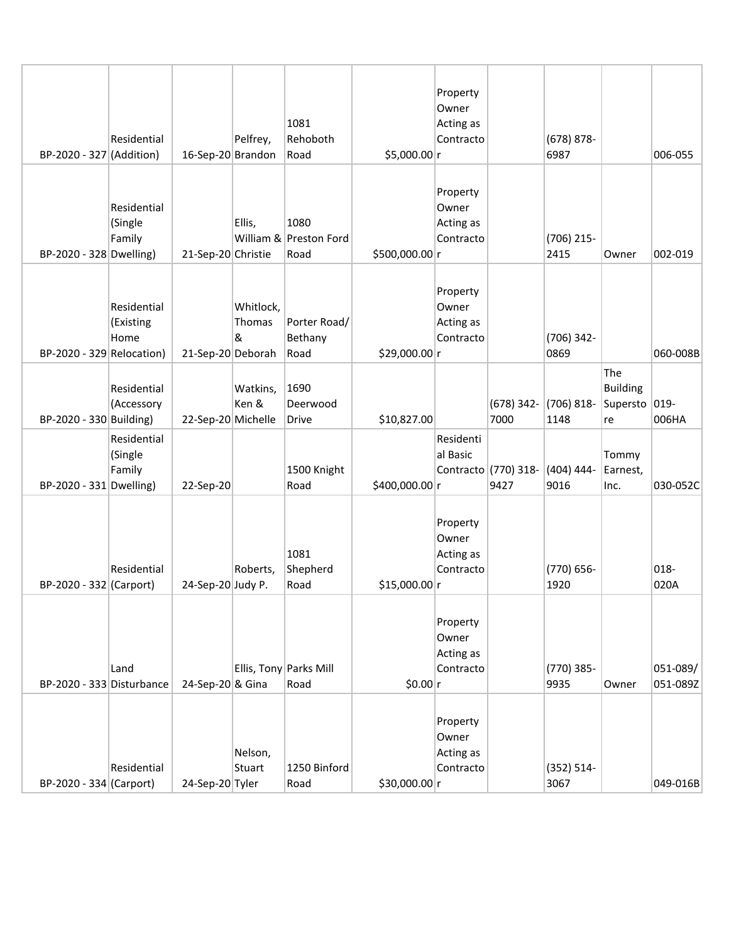| BP-2020 - 327 (Addition)    | Residential                      | 16-Sep-20 Brandon  | Pelfrey,                        | 1081<br>Rehoboth<br>Road               | \$5,000.00 r   | Property<br>Owner<br>Acting as<br>Contracto |                              | $(678) 878 -$<br>6987 |                                          | 006-055              |
|-----------------------------|----------------------------------|--------------------|---------------------------------|----------------------------------------|----------------|---------------------------------------------|------------------------------|-----------------------|------------------------------------------|----------------------|
| BP-2020 - 328 Dwelling)     | Residential<br>(Single<br>Family | 21-Sep-20 Christie | Ellis,                          | 1080<br>William & Preston Ford<br>Road | \$500,000.00 r | Property<br>Owner<br>Acting as<br>Contracto |                              | (706) 215-<br>2415    | Owner                                    | 002-019              |
| $BP-2020 - 329$ Relocation) | Residential<br>(Existing<br>Home | 21-Sep-20 Deborah  | Whitlock,<br><b>Thomas</b><br>& | Porter Road/<br>Bethany<br>Road        | \$29,000.00 r  | Property<br>Owner<br>Acting as<br>Contracto |                              | (706) 342-<br>0869    |                                          | 060-008B             |
| BP-2020 - 330 Building)     | Residential<br>(Accessory        | 22-Sep-20 Michelle | Watkins,<br>Ken &               | 1690<br>Deerwood<br>Drive              | \$10,827.00    |                                             | $(678)$ 342-<br>7000         | $(706) 818 -$<br>1148 | The<br><b>Building</b><br>Supersto<br>re | 019-<br>006HA        |
| BP-2020 - 331 Dwelling)     | Residential<br>(Single<br>Family | 22-Sep-20          |                                 | 1500 Knight<br>Road                    | \$400,000.00 r | Residenti<br>al Basic                       | Contracto (770) 318-<br>9427 | $(404) 444 -$<br>9016 | Tommy<br>Earnest,<br>Inc.                | 030-052C             |
| BP-2020 - 332 (Carport)     | Residential                      | 24-Sep-20 Judy P.  | Roberts,                        | 1081<br>Shepherd<br>Road               | \$15,000.00 r  | Property<br>Owner<br>Acting as<br>Contracto |                              | (770) 656-<br>1920    |                                          | 018-<br>020A         |
| BP-2020 - 333 Disturbance   | Land                             | 24-Sep-20 & Gina   |                                 | Ellis, Tony Parks Mill<br>Road         | \$0.00 r       | Property<br>Owner<br>Acting as<br>Contracto |                              | (770) 385-<br>9935    | Owner                                    | 051-089/<br>051-089Z |
| BP-2020 - 334 (Carport)     | Residential                      | 24-Sep-20 Tyler    | Nelson,<br>Stuart               | 1250 Binford<br>Road                   | \$30,000.00 r  | Property<br>Owner<br>Acting as<br>Contracto |                              | $(352) 514 -$<br>3067 |                                          | 049-016B             |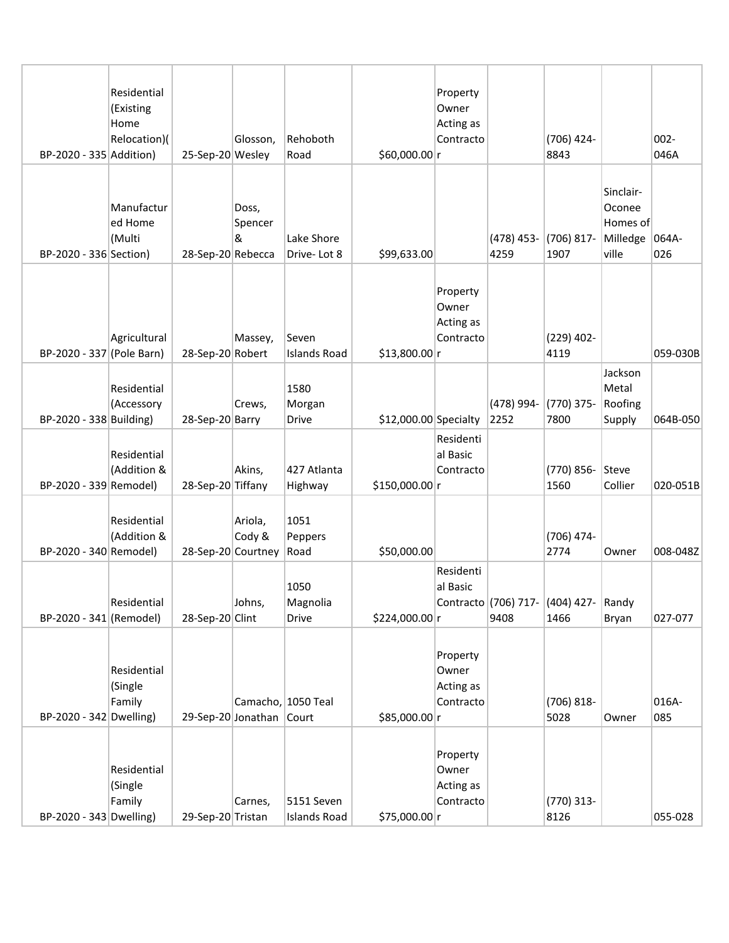| BP-2020 - 335 Addition)   | Residential<br>(Existing<br>Home<br>Relocation)( | 25-Sep-20 Wesley  | Glosson,                                | Rehoboth<br>Road                  | \$60,000.00 r         | Property<br>Owner<br>Acting as<br>Contracto |                              | (706) 424-<br>8843    |                                                      | $002 -$<br>046A |
|---------------------------|--------------------------------------------------|-------------------|-----------------------------------------|-----------------------------------|-----------------------|---------------------------------------------|------------------------------|-----------------------|------------------------------------------------------|-----------------|
| BP-2020 - 336 Section)    | Manufactur<br>ed Home<br>(Multi                  | 28-Sep-20 Rebecca | Doss,<br>Spencer<br>&                   | Lake Shore<br>Drive-Lot 8         | \$99,633.00           |                                             | (478) 453-<br>4259           | (706) 817-<br>1907    | Sinclair-<br>Oconee<br>Homes of<br>Milledge<br>ville | 064A-<br>026    |
| BP-2020 - 337 (Pole Barn) | Agricultural                                     | 28-Sep-20 Robert  | Massey,                                 | Seven<br><b>Islands Road</b>      | \$13,800.00 r         | Property<br>Owner<br>Acting as<br>Contracto |                              | $(229)$ 402-<br>4119  |                                                      | 059-030B        |
| BP-2020 - 338 Building)   | Residential<br>(Accessory                        | 28-Sep-20 Barry   | Crews,                                  | 1580<br>Morgan<br><b>Drive</b>    | \$12,000.00 Specialty | Residenti                                   | (478) 994-<br>2252           | (770) 375-<br>7800    | Jackson<br>Metal<br>Roofing<br>Supply                | 064B-050        |
| BP-2020 - 339 Remodel)    | Residential<br>(Addition &                       | 28-Sep-20 Tiffany | Akins,                                  | 427 Atlanta<br>Highway            | \$150,000.00 r        | al Basic<br>Contracto                       |                              | (770) 856-<br>1560    | Steve<br>Collier                                     | 020-051B        |
| BP-2020 - 340 Remodel)    | Residential<br>(Addition &                       |                   | Ariola,<br>Cody &<br>28-Sep-20 Courtney | 1051<br>Peppers<br>Road           | \$50,000.00           | Residenti                                   |                              | (706) 474-<br>2774    | Owner                                                | 008-048Z        |
| BP-2020 - 341 (Remodel)   | Residential                                      | 28-Sep-20 Clint   | Johns,                                  | 1050<br>Magnolia<br>Drive         | \$224,000.00 r        | al Basic                                    | Contracto (706) 717-<br>9408 | $(404)$ 427-<br>1466  | Randy<br>Bryan                                       | 027-077         |
| BP-2020 - 342 Dwelling)   | Residential<br>(Single<br>Family                 |                   | 29-Sep-20 Jonathan Court                | Camacho, 1050 Teal                | \$85,000.00 r         | Property<br>Owner<br>Acting as<br>Contracto |                              | $(706) 818 -$<br>5028 | Owner                                                | 016A-<br>085    |
| BP-2020 - 343 Dwelling)   | Residential<br>(Single<br>Family                 | 29-Sep-20 Tristan | Carnes,                                 | 5151 Seven<br><b>Islands Road</b> | \$75,000.00 r         | Property<br>Owner<br>Acting as<br>Contracto |                              | $(770)$ 313-<br>8126  |                                                      | 055-028         |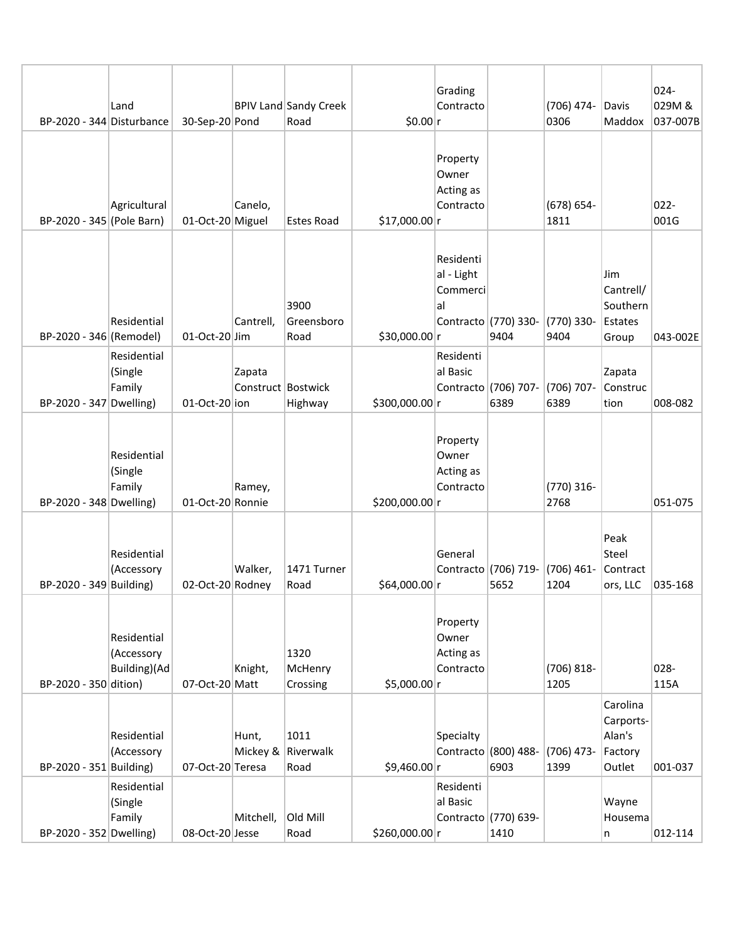|                           |              |                  |                    |                                      |                | Grading            |                              |                       |                       | 024-               |
|---------------------------|--------------|------------------|--------------------|--------------------------------------|----------------|--------------------|------------------------------|-----------------------|-----------------------|--------------------|
| BP-2020 - 344 Disturbance | Land         | 30-Sep-20 Pond   |                    | <b>BPIV Land Sandy Creek</b><br>Road | \$0.00 r       | Contracto          |                              | (706) 474-<br>0306    | Davis<br>Maddox       | 029M &<br>037-007B |
|                           |              |                  |                    |                                      |                | Property           |                              |                       |                       |                    |
|                           |              |                  |                    |                                      |                | Owner<br>Acting as |                              |                       |                       |                    |
| BP-2020 - 345 (Pole Barn) | Agricultural | 01-Oct-20 Miguel | Canelo,            | <b>Estes Road</b>                    | $$17,000.00$ r | Contracto          |                              | $(678) 654 -$<br>1811 |                       | $022 -$<br>001G    |
|                           |              |                  |                    |                                      |                | Residenti          |                              |                       |                       |                    |
|                           |              |                  |                    |                                      |                | al - Light         |                              |                       | Jim                   |                    |
|                           |              |                  |                    | 3900                                 |                | Commerci<br>al     |                              |                       | Cantrell/<br>Southern |                    |
|                           | Residential  |                  | Cantrell,          | Greensboro                           |                |                    | Contracto (770) 330-         | (770) 330-            | Estates               |                    |
| BP-2020 - 346 (Remodel)   | Residential  | 01-Oct-20 Jim    |                    | Road                                 | \$30,000.00 r  | Residenti          | 9404                         | 9404                  | Group                 | 043-002E           |
|                           | (Single      |                  | Zapata             |                                      |                | al Basic           |                              |                       | Zapata                |                    |
| BP-2020 - 347 Dwelling)   | Family       | $01-Oct-20$ ion  | Construct Bostwick | Highway                              | \$300,000.00 r |                    | Contracto (706) 707-<br>6389 | (706) 707-<br>6389    | Construc<br>tion      | 008-082            |
|                           |              |                  |                    |                                      |                |                    |                              |                       |                       |                    |
|                           | Residential  |                  |                    |                                      |                | Property<br>Owner  |                              |                       |                       |                    |
|                           | (Single      |                  |                    |                                      |                | Acting as          |                              |                       |                       |                    |
| BP-2020 - 348 Dwelling)   | Family       | 01-Oct-20 Ronnie | Ramey,             |                                      | \$200,000.00 r | Contracto          |                              | (770) 316-<br>2768    |                       | 051-075            |
|                           |              |                  |                    |                                      |                |                    |                              |                       |                       |                    |
|                           | Residential  |                  |                    |                                      |                | General            |                              |                       | Peak<br>Steel         |                    |
| BP-2020 - 349 Building)   | (Accessory   | 02-Oct-20 Rodney | Walker,            | 1471 Turner<br>Road                  | \$64,000.00 r  |                    | Contracto (706) 719-<br>5652 | $(706)$ 461-<br>1204  | Contract<br>ors, LLC  | 035-168            |
|                           |              |                  |                    |                                      |                |                    |                              |                       |                       |                    |
|                           | Residential  |                  |                    |                                      |                | Property           |                              |                       |                       |                    |
|                           | (Accessory   |                  |                    | 1320                                 |                | Owner<br>Acting as |                              |                       |                       |                    |
| BP-2020 - 350 dition)     | Building)(Ad | 07-Oct-20 Matt   | Knight,            | McHenry<br>Crossing                  | \$5,000.00 r   | Contracto          |                              | $(706) 818 -$<br>1205 |                       | 028-<br>115A       |
|                           |              |                  |                    |                                      |                |                    |                              |                       | Carolina              |                    |
|                           | Residential  |                  | Hunt,              | 1011                                 |                | Specialty          |                              |                       | Carports-<br>Alan's   |                    |
|                           | (Accessory   |                  |                    | Mickey & Riverwalk                   |                |                    | Contracto (800) 488-         | $(706)$ 473-          | Factory               |                    |
| BP-2020 - 351 Building)   | Residential  | 07-Oct-20 Teresa |                    | Road                                 | \$9,460.00 r   | Residenti          | 6903                         | 1399                  | Outlet                | 001-037            |
|                           | (Single      |                  |                    |                                      |                | al Basic           |                              |                       | Wayne                 |                    |
| BP-2020 - 352 Dwelling)   | Family       | 08-Oct-20 Jesse  | Mitchell,          | Old Mill<br>Road                     | \$260,000.00 r |                    | Contracto (770) 639-<br>1410 |                       | Housema<br>n          | 012-114            |
|                           |              |                  |                    |                                      |                |                    |                              |                       |                       |                    |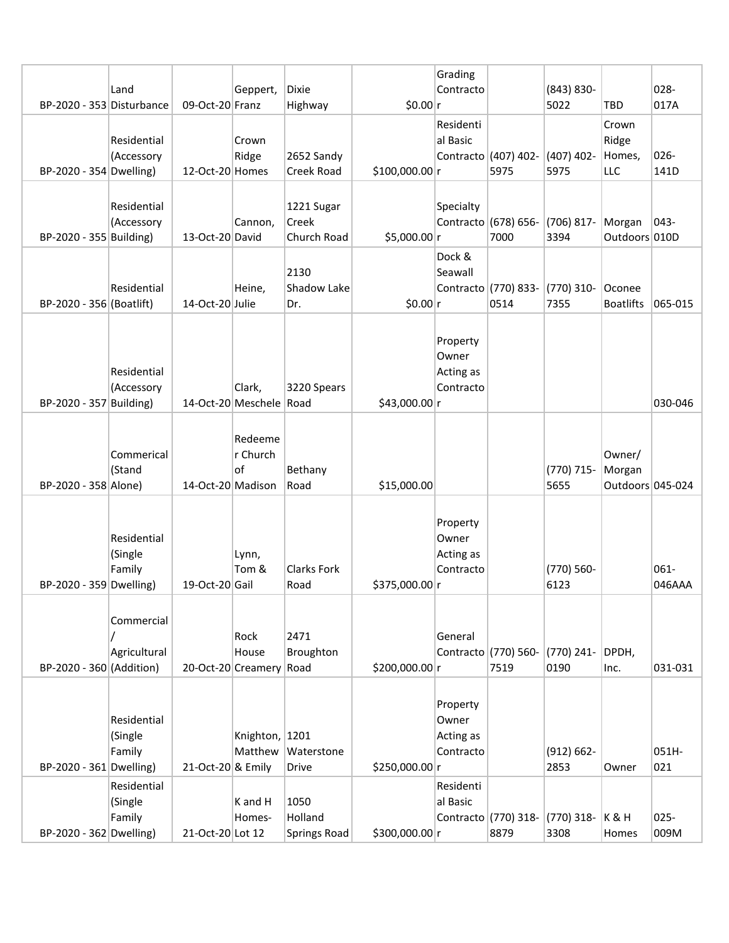| BP-2020 - 353 Disturbance | Land                             | 09-Oct-20 Franz   | Geppert,                                 | <b>Dixie</b><br>Highway                | \$0.00 r       | Grading<br>Contracto                        |                              | $(843) 830 -$<br>5022 | <b>TBD</b>                           | 028-<br>017A    |
|---------------------------|----------------------------------|-------------------|------------------------------------------|----------------------------------------|----------------|---------------------------------------------|------------------------------|-----------------------|--------------------------------------|-----------------|
| BP-2020 - 354 Dwelling)   | Residential<br>(Accessory        | 12-Oct-20 Homes   | Crown<br>Ridge                           | 2652 Sandy<br>Creek Road               | \$100,000.00 r | Residenti<br>al Basic                       | Contracto (407) 402-<br>5975 | $(407)$ 402-<br>5975  | Crown<br>Ridge<br>Homes,<br>LLC      | 026-<br>141D    |
| BP-2020 - 355 Building)   | Residential<br>(Accessory        | 13-Oct-20 David   | Cannon,                                  | 1221 Sugar<br>Creek<br>Church Road     | \$5,000.00 r   | Specialty                                   | Contracto (678) 656-<br>7000 | $(706) 817 -$<br>3394 | Morgan<br>Outdoors 010D              | $043-$          |
| BP-2020 - 356 (Boatlift)  | Residential                      | 14-Oct-20 Julie   | Heine,                                   | 2130<br><b>Shadow Lake</b><br>Dr.      | \$0.00 r       | Dock &<br>Seawall                           | Contracto (770) 833-<br>0514 | (770) 310-<br>7355    | Oconee<br><b>Boatlifts</b>           | 065-015         |
| BP-2020 - 357 Building)   | Residential<br>(Accessory        |                   | Clark,<br>14-Oct-20 Meschele Road        | 3220 Spears                            | \$43,000.00 r  | Property<br>Owner<br>Acting as<br>Contracto |                              |                       |                                      | 030-046         |
| BP-2020 - 358 Alone)      | Commerical<br>(Stand             | 14-Oct-20 Madison | Redeeme<br>r Church<br>of                | Bethany<br>Road                        | \$15,000.00    |                                             |                              | (770) 715-<br>5655    | Owner/<br>Morgan<br>Outdoors 045-024 |                 |
| BP-2020 - 359 Dwelling)   | Residential<br>(Single<br>Family | 19-Oct-20 Gail    | Lynn,<br>Tom &                           | <b>Clarks Fork</b><br>Road             | \$375,000.00 r | Property<br>Owner<br>Acting as<br>Contracto |                              | $(770) 560 -$<br>6123 |                                      | 061-<br>046AAA  |
| BP-2020 - 360 (Addition)  | Commercial<br>Agricultural       |                   | Rock<br>House<br>20-Oct-20 Creamery Road | 2471<br>Broughton                      | \$200,000.00 r | General                                     | Contracto (770) 560-<br>7519 | $(770)$ 241-<br>0190  | DPDH,<br>Inc.                        | 031-031         |
| BP-2020 - 361 Dwelling)   | Residential<br>(Single<br>Family | 21-Oct-20 & Emily | Knighton, 1201<br>Matthew                | Waterstone<br>Drive                    | \$250,000.00 r | Property<br>Owner<br>Acting as<br>Contracto |                              | $(912) 662 -$<br>2853 | Owner                                | 051H-<br>021    |
| BP-2020 - 362 Dwelling)   | Residential<br>(Single<br>Family | 21-Oct-20 Lot 12  | K and H<br>Homes-                        | 1050<br>Holland<br><b>Springs Road</b> | \$300,000.00 r | Residenti<br>al Basic                       | Contracto (770) 318-<br>8879 | $(770)$ 318-<br>3308  | <b>K&amp;H</b><br>Homes              | $025 -$<br>009M |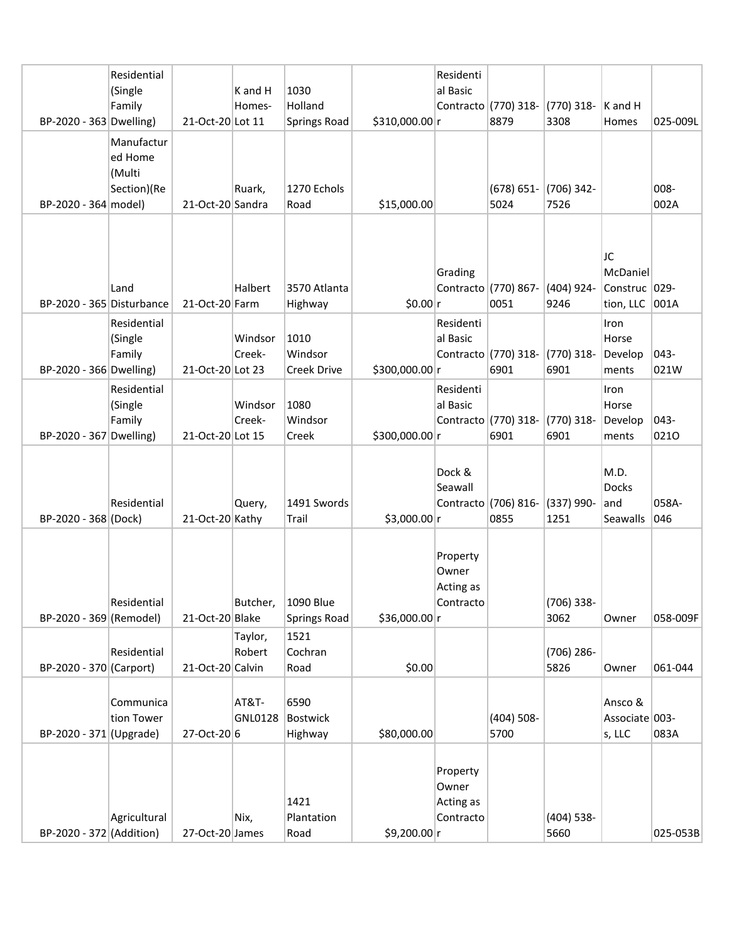|                           | Residential  |                  |                   |                     |                | Residenti          |                      |                      |                     |          |
|---------------------------|--------------|------------------|-------------------|---------------------|----------------|--------------------|----------------------|----------------------|---------------------|----------|
|                           | (Single      |                  | K and H           | 1030                |                | al Basic           |                      |                      |                     |          |
|                           | Family       |                  | Homes-            | Holland             |                |                    | Contracto (770) 318- | (770) 318-           | $ K \text{ and } H$ |          |
| BP-2020 - 363 Dwelling)   |              | 21-Oct-20 Lot 11 |                   | <b>Springs Road</b> | \$310,000.00 r |                    | 8879                 | 3308                 | Homes               | 025-009L |
|                           | Manufactur   |                  |                   |                     |                |                    |                      |                      |                     |          |
|                           | ed Home      |                  |                   |                     |                |                    |                      |                      |                     |          |
|                           | (Multi       |                  |                   |                     |                |                    |                      |                      |                     |          |
|                           | Section)(Re  |                  | Ruark,            | 1270 Echols         |                |                    | $(678) 651 -$        | (706) 342-           |                     | 008-     |
| BP-2020 - 364 model)      |              | 21-Oct-20 Sandra |                   | Road                | \$15,000.00    |                    | 5024                 | 7526                 |                     | 002A     |
|                           |              |                  |                   |                     |                |                    |                      |                      |                     |          |
|                           |              |                  |                   |                     |                |                    |                      |                      |                     |          |
|                           |              |                  |                   |                     |                |                    |                      |                      | JC                  |          |
|                           |              |                  |                   |                     |                | Grading            |                      |                      | McDaniel            |          |
|                           | Land         |                  | Halbert           | 3570 Atlanta        |                |                    | Contracto (770) 867- | (404) 924-           | Construc 029-       |          |
| BP-2020 - 365 Disturbance |              | 21-Oct-20 Farm   |                   | Highway             | \$0.00 r       |                    | 0051                 | 9246                 | tion, LLC 001A      |          |
|                           | Residential  |                  |                   |                     |                | Residenti          |                      |                      | Iron                |          |
|                           | (Single      |                  | Windsor           | 1010                |                | al Basic           |                      |                      | Horse               |          |
|                           | Family       |                  | Creek-            | Windsor             |                |                    | Contracto (770) 318- | (770) 318-           | Develop             | 043-     |
| BP-2020 - 366 Dwelling)   |              | 21-Oct-20 Lot 23 |                   | Creek Drive         | \$300,000.00 r |                    | 6901                 | 6901                 | ments               | 021W     |
|                           | Residential  |                  |                   |                     |                | Residenti          |                      |                      | Iron                |          |
|                           | (Single      |                  | Windsor           | 1080                |                | al Basic           |                      |                      | Horse               |          |
|                           | Family       |                  | Creek-            | Windsor             |                |                    | Contracto (770) 318- | $(770)$ 318-         | Develop             | 043-     |
| BP-2020 - 367 Dwelling)   |              | 21-Oct-20 Lot 15 |                   | Creek               | \$300,000.00 r |                    | 6901                 | 6901                 | ments               | 0210     |
|                           |              |                  |                   |                     |                |                    |                      |                      |                     |          |
|                           |              |                  |                   |                     |                | Dock &             |                      |                      | M.D.                |          |
|                           |              |                  |                   |                     |                | Seawall            |                      |                      | <b>Docks</b>        |          |
|                           | Residential  |                  | Query,            | 1491 Swords         |                |                    | Contracto (706) 816- | (337) 990-           | and                 | 058A-    |
| BP-2020 - 368 (Dock)      |              | 21-Oct-20 Kathy  |                   | Trail               | \$3,000.00 r   |                    | 0855                 | 1251                 | Seawalls            | 046      |
|                           |              |                  |                   |                     |                |                    |                      |                      |                     |          |
|                           |              |                  |                   |                     |                | Property           |                      |                      |                     |          |
|                           |              |                  |                   |                     |                | Owner              |                      |                      |                     |          |
|                           |              |                  |                   |                     |                | Acting as          |                      |                      |                     |          |
| BP-2020 - 369 (Remodel)   | Residential  |                  | Butcher,          | 1090 Blue           |                | Contracto          |                      | $(706)$ 338-<br>3062 |                     | 058-009F |
|                           |              | 21-Oct-20 Blake  |                   | <b>Springs Road</b> | \$36,000.00 r  |                    |                      |                      | Owner               |          |
|                           |              |                  | Taylor,<br>Robert | 1521<br>Cochran     |                |                    |                      |                      |                     |          |
| BP-2020 - 370 (Carport)   | Residential  | 21-Oct-20 Calvin |                   | Road                | \$0.00         |                    |                      | (706) 286-<br>5826   | Owner               | 061-044  |
|                           |              |                  |                   |                     |                |                    |                      |                      |                     |          |
|                           | Communica    |                  | AT&T-             | 6590                |                |                    |                      |                      | Ansco &             |          |
|                           | tion Tower   |                  | GNL0128           | Bostwick            |                |                    | $(404) 508 -$        |                      | Associate 003-      |          |
| $BP-2020 - 371$ (Upgrade) |              | 27-Oct-20 6      |                   | Highway             | \$80,000.00    |                    | 5700                 |                      | s, LLC              | 083A     |
|                           |              |                  |                   |                     |                |                    |                      |                      |                     |          |
|                           |              |                  |                   |                     |                |                    |                      |                      |                     |          |
|                           |              |                  |                   |                     |                | Property           |                      |                      |                     |          |
|                           |              |                  |                   | 1421                |                | Owner<br>Acting as |                      |                      |                     |          |
|                           | Agricultural |                  | Nix,              | Plantation          |                | Contracto          |                      | $(404)$ 538-         |                     |          |
| BP-2020 - 372 (Addition)  |              | 27-Oct-20 James  |                   | Road                | \$9,200.00 r   |                    |                      | 5660                 |                     | 025-053B |
|                           |              |                  |                   |                     |                |                    |                      |                      |                     |          |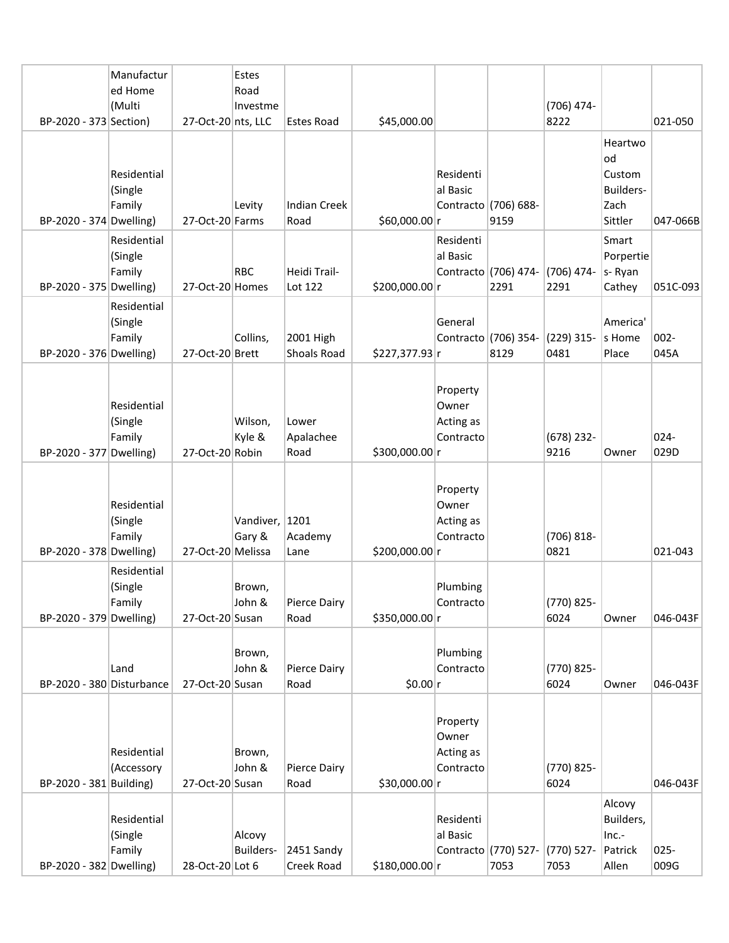|                           | Manufactur<br>ed Home<br>(Multi  |                    | Estes<br>Road<br>Investme |                             |                |                                             |                              | (706) 474-            |                                                         |                 |
|---------------------------|----------------------------------|--------------------|---------------------------|-----------------------------|----------------|---------------------------------------------|------------------------------|-----------------------|---------------------------------------------------------|-----------------|
| BP-2020 - 373 Section)    |                                  | 27-Oct-20 nts, LLC |                           | <b>Estes Road</b>           | \$45,000.00    |                                             |                              | 8222                  |                                                         | 021-050         |
| BP-2020 - 374 Dwelling)   | Residential<br>(Single<br>Family | 27-Oct-20 Farms    | Levity                    | <b>Indian Creek</b><br>Road | \$60,000.00 r  | Residenti<br>al Basic                       | Contracto (706) 688-<br>9159 |                       | Heartwo<br>od<br>Custom<br>Builders-<br>Zach<br>Sittler | 047-066B        |
| BP-2020 - 375 Dwelling)   | Residential<br>(Single<br>Family | 27-Oct-20 Homes    | <b>RBC</b>                | Heidi Trail-<br>Lot 122     | \$200,000.00 r | Residenti<br>al Basic                       | Contracto (706) 474-<br>2291 | (706) 474-<br>2291    | Smart<br>Porpertie<br>s-Ryan<br>Cathey                  | 051C-093        |
| BP-2020 - 376 Dwelling)   | Residential<br>(Single<br>Family | 27-Oct-20 Brett    | Collins,                  | 2001 High<br>Shoals Road    | \$227,377.93 r | General                                     | Contracto (706) 354-<br>8129 | (229) 315-<br>0481    | America'<br>s Home<br>Place                             | $002 -$<br>045A |
| BP-2020 - 377 Dwelling)   | Residential<br>(Single<br>Family | 27-Oct-20 Robin    | Wilson,<br>Kyle &         | Lower<br>Apalachee<br>Road  | \$300,000.00 r | Property<br>Owner<br>Acting as<br>Contracto |                              | $(678)$ 232-<br>9216  | Owner                                                   | 024-<br>029D    |
| BP-2020 - 378 Dwelling)   | Residential<br>(Single<br>Family | 27-Oct-20 Melissa  | Vandiver, 1201<br>Gary &  | Academy<br>Lane             | \$200,000.00 r | Property<br>Owner<br>Acting as<br>Contracto |                              | $(706) 818 -$<br>0821 |                                                         | 021-043         |
| BP-2020 - 379 Dwelling)   | Residential<br>(Single<br>Family | 27-Oct-20 Susan    | Brown,<br>John &          | Pierce Dairy<br>Road        | \$350,000.00 r | Plumbing<br>Contracto                       |                              | (770) 825-<br>6024    | Owner                                                   | 046-043F        |
| BP-2020 - 380 Disturbance | Land                             | 27-Oct-20 Susan    | Brown,<br>John &          | Pierce Dairy<br>Road        | \$0.00 r       | Plumbing<br>Contracto                       |                              | (770) 825-<br>6024    | Owner                                                   | 046-043F        |
| BP-2020 - 381 Building)   | Residential<br>(Accessory        | 27-Oct-20 Susan    | Brown,<br>John &          | Pierce Dairy<br>Road        | \$30,000.00 r  | Property<br>Owner<br>Acting as<br>Contracto |                              | (770) 825-<br>6024    |                                                         | 046-043F        |
| BP-2020 - 382 Dwelling)   | Residential<br>(Single<br>Family | 28-Oct-20 Lot 6    | Alcovy<br>Builders-       | 2451 Sandy<br>Creek Road    | \$180,000.00 r | Residenti<br>al Basic                       | Contracto (770) 527-<br>7053 | (770) 527-<br>7053    | Alcovy<br>Builders,<br>Inc.-<br>Patrick<br>Allen        | $025 -$<br>009G |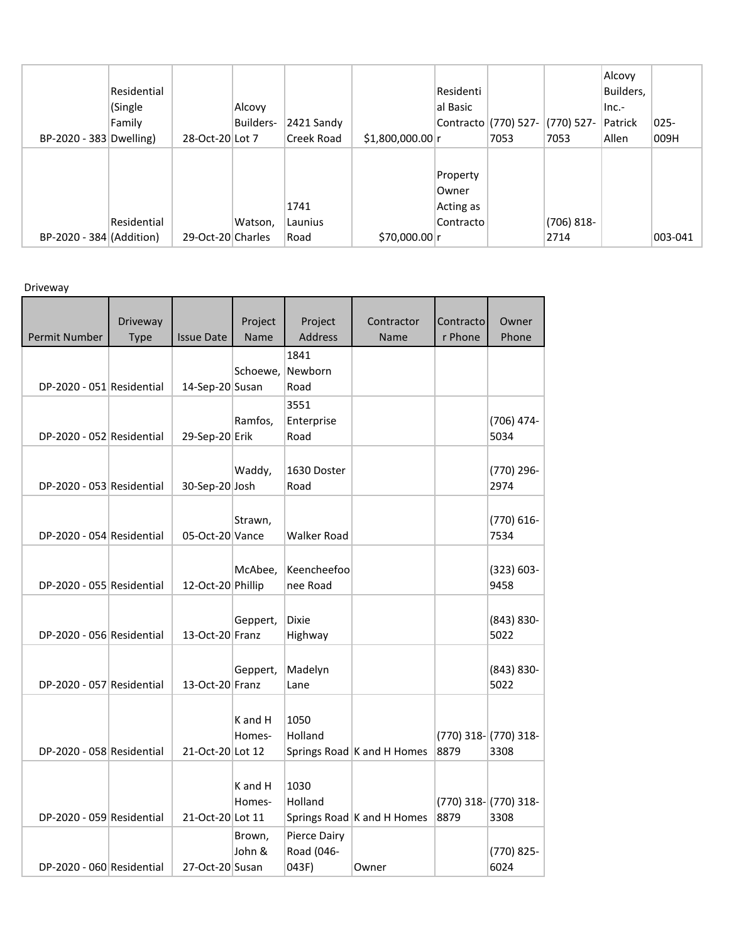| BP-2020 - 383 Dwelling)  | Residential<br>(Single<br>Family | 28-Oct-20 Lot 7   | Alcovy<br>Builders- | 2421 Sandy<br><b>Creek Road</b> | $$1,800,000.00$ r | Residenti<br>al Basic                       | Contracto (770) 527-<br>7053 | (770) 527-<br>7053    | Alcovy<br>Builders,<br>$Inc.-$<br>Patrick<br>Allen | $ 025-$<br>009H |
|--------------------------|----------------------------------|-------------------|---------------------|---------------------------------|-------------------|---------------------------------------------|------------------------------|-----------------------|----------------------------------------------------|-----------------|
| BP-2020 - 384 (Addition) | Residential                      | 29-Oct-20 Charles | Watson,             | 1741<br>Launius<br>Road         | \$70,000.00 r     | Property<br>Owner<br>Acting as<br>Contracto |                              | $(706) 818 -$<br>2714 |                                                    | 003-041         |

Driveway

| Permit Number             | Driveway<br>Type | <b>Issue Date</b> | Project<br>Name   | Project<br><b>Address</b>           | Contractor<br>Name         | Contracto<br>r Phone | Owner<br>Phone                    |
|---------------------------|------------------|-------------------|-------------------|-------------------------------------|----------------------------|----------------------|-----------------------------------|
| DP-2020 - 051 Residential |                  | 14-Sep-20 Susan   | Schoewe,          | 1841<br>Newborn<br>Road             |                            |                      |                                   |
| DP-2020 - 052 Residential |                  | 29-Sep-20 Erik    | Ramfos,           | 3551<br>Enterprise<br>Road          |                            |                      | (706) 474-<br>5034                |
| DP-2020 - 053 Residential |                  | 30-Sep-20 Josh    | Waddy,            | 1630 Doster<br>Road                 |                            |                      | (770) 296-<br>2974                |
| DP-2020 - 054 Residential |                  | 05-Oct-20 Vance   | Strawn,           | <b>Walker Road</b>                  |                            |                      | (770) 616-<br>7534                |
| DP-2020 - 055 Residential |                  | 12-Oct-20 Phillip | McAbee,           | Keencheefoo<br>nee Road             |                            |                      | $(323) 603 -$<br>9458             |
| DP-2020 - 056 Residential |                  | 13-Oct-20 Franz   | Geppert,          | Dixie<br>Highway                    |                            |                      | $(843) 830 -$<br>5022             |
| DP-2020 - 057 Residential |                  | 13-Oct-20 Franz   | Geppert,          | Madelyn<br>Lane                     |                            |                      | $(843) 830 -$<br>5022             |
| DP-2020 - 058 Residential |                  | 21-Oct-20 Lot 12  | K and H<br>Homes- | 1050<br>Holland                     | Springs Road K and H Homes | 8879                 | (770) 318- (770) 318-<br>3308     |
| DP-2020 - 059 Residential |                  | 21-Oct-20 Lot 11  | K and H<br>Homes- | 1030<br>Holland                     | Springs Road K and H Homes | 8879                 | $(770)$ 318- $(770)$ 318-<br>3308 |
| DP-2020 - 060 Residential |                  | 27-Oct-20 Susan   | Brown,<br>John &  | Pierce Dairy<br>Road (046-<br>043F) | Owner                      |                      | (770) 825-<br>6024                |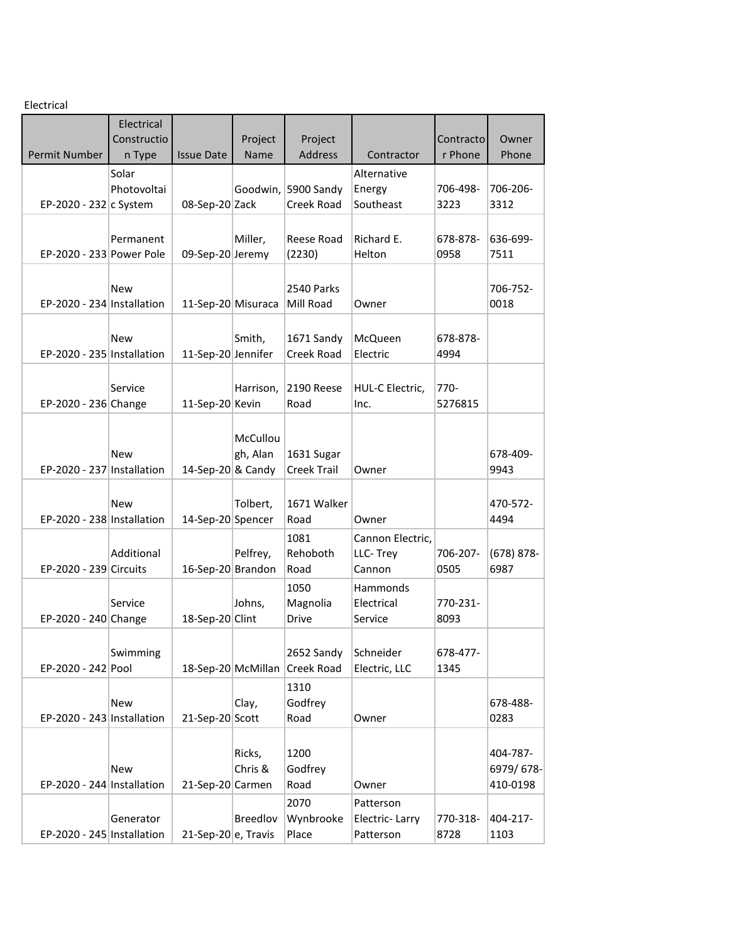Electrical

|                            | Electrical  |                     |                    |                          |                    |           |                       |
|----------------------------|-------------|---------------------|--------------------|--------------------------|--------------------|-----------|-----------------------|
|                            | Constructio |                     | Project            | Project                  |                    | Contracto | Owner                 |
| Permit Number              | n Type      | <b>Issue Date</b>   | Name               | Address                  | Contractor         | r Phone   | Phone                 |
|                            | Solar       |                     |                    |                          | Alternative        |           |                       |
|                            | Photovoltai |                     |                    | Goodwin, 5900 Sandy      | Energy             | 706-498-  | 706-206-              |
| EP-2020 - 232 c System     |             | 08-Sep-20 Zack      |                    | Creek Road               | Southeast          | 3223      | 3312                  |
|                            |             |                     |                    |                          |                    |           |                       |
|                            | Permanent   |                     | Miller,            | Reese Road               | Richard E.         | 678-878-  | 636-699-              |
| EP-2020 - 233 Power Pole   |             | 09-Sep-20 Jeremy    |                    | (2230)                   | Helton             | 0958      | 7511                  |
|                            |             |                     |                    |                          |                    |           |                       |
|                            | New         |                     |                    | 2540 Parks               |                    |           | 706-752-              |
| EP-2020 - 234 Installation |             | 11-Sep-20 Misuraca  |                    | Mill Road                | Owner              |           | 0018                  |
|                            |             |                     |                    |                          |                    |           |                       |
|                            | New         |                     | Smith,             | 1671 Sandy               | McQueen            | 678-878-  |                       |
| EP-2020 - 235 Installation |             | 11-Sep-20 Jennifer  |                    | Creek Road               | Electric           | 4994      |                       |
|                            |             |                     |                    |                          |                    |           |                       |
|                            | Service     |                     | Harrison,          | 2190 Reese               | HUL-C Electric,    | 770-      |                       |
| EP-2020 - 236 Change       |             | 11-Sep-20 Kevin     |                    | Road                     | Inc.               | 5276815   |                       |
|                            |             |                     |                    |                          |                    |           |                       |
|                            |             |                     | McCullou           |                          |                    |           |                       |
|                            | New         |                     | gh, Alan           | 1631 Sugar               |                    |           | 678-409-              |
| EP-2020 - 237 Installation |             | 14-Sep-20 & Candy   |                    | <b>Creek Trail</b>       | Owner              |           | 9943                  |
|                            |             |                     |                    |                          |                    |           |                       |
|                            | New         |                     | Tolbert,           | 1671 Walker              |                    |           | 470-572-              |
| EP-2020 - 238 Installation |             | 14-Sep-20 Spencer   |                    | Road                     | Owner              |           | 4494                  |
|                            |             |                     |                    |                          |                    |           |                       |
|                            | Additional  |                     |                    | 1081<br>Rehoboth         | Cannon Electric,   | 706-207-  |                       |
| EP-2020 - 239 Circuits     |             | 16-Sep-20 Brandon   | Pelfrey,           | Road                     | LLC-Trey<br>Cannon | 0505      | $(678) 878 -$<br>6987 |
|                            |             |                     |                    |                          |                    |           |                       |
|                            |             |                     |                    | 1050                     | Hammonds           |           |                       |
|                            | Service     |                     | Johns,             | Magnolia<br><b>Drive</b> | Electrical         | 770-231-  |                       |
| EP-2020 - 240 Change       |             | 18-Sep-20 Clint     |                    |                          | Service            | 8093      |                       |
|                            |             |                     |                    |                          |                    |           |                       |
|                            | Swimming    |                     |                    | 2652 Sandy               | Schneider          | 678-477-  |                       |
| EP-2020 - 242 Pool         |             |                     | 18-Sep-20 McMillan | <b>Creek Road</b>        | Electric, LLC      | 1345      |                       |
|                            |             |                     |                    | 1310                     |                    |           |                       |
|                            | New         |                     | Clay,              | Godfrey                  |                    |           | 678-488-              |
| EP-2020 - 243 Installation |             | 21-Sep-20 Scott     |                    | Road                     | Owner              |           | 0283                  |
|                            |             |                     |                    |                          |                    |           |                       |
|                            |             |                     | Ricks,             | 1200                     |                    |           | 404-787-              |
|                            | New         |                     | Chris &            | Godfrey                  |                    |           | 6979/678-             |
| EP-2020 - 244 Installation |             | 21-Sep-20 Carmen    |                    | Road                     | Owner              |           | 410-0198              |
|                            |             |                     |                    | 2070                     | Patterson          |           |                       |
|                            | Generator   |                     | Breedlov           | Wynbrooke                | Electric-Larry     | 770-318-  | 404-217-              |
| EP-2020 - 245 Installation |             | 21-Sep-20 e, Travis |                    | Place                    | Patterson          | 8728      | 1103                  |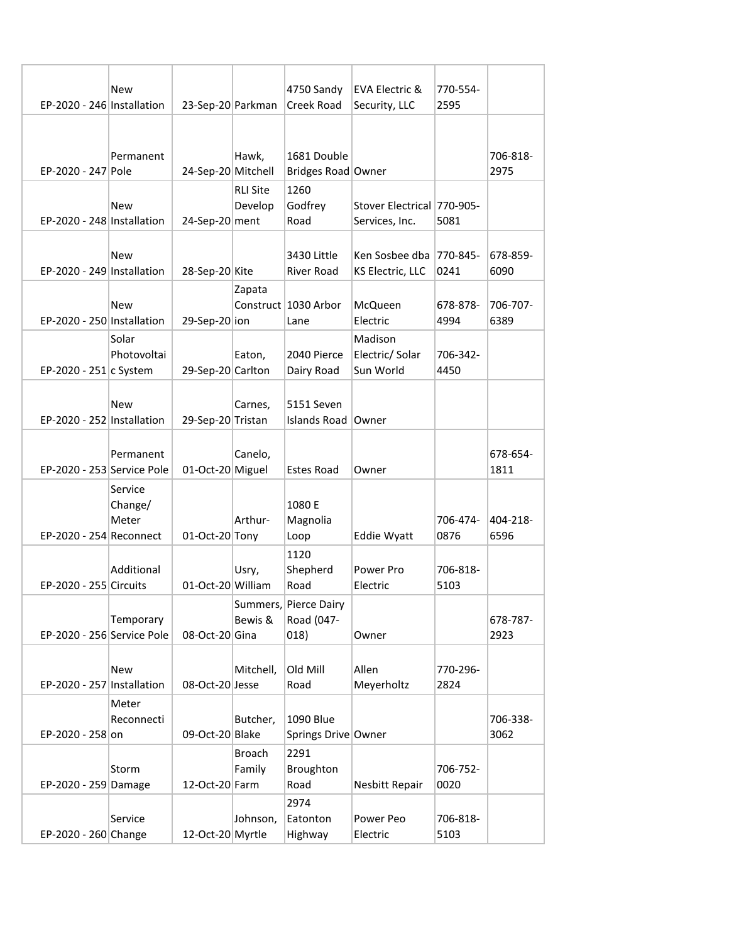|                            | New                 |                    |                 | 4750 Sandy                       | EVA Electric &             | 770-554- |          |
|----------------------------|---------------------|--------------------|-----------------|----------------------------------|----------------------------|----------|----------|
| EP-2020 - 246 Installation |                     | 23-Sep-20 Parkman  |                 | Creek Road                       | Security, LLC              | 2595     |          |
|                            |                     |                    |                 |                                  |                            |          |          |
|                            | Permanent           |                    | Hawk,           | 1681 Double                      |                            |          | 706-818- |
| EP-2020 - 247 Pole         |                     | 24-Sep-20 Mitchell |                 | Bridges Road Owner               |                            |          | 2975     |
|                            |                     |                    | <b>RLI Site</b> | 1260                             |                            |          |          |
|                            | New                 |                    | Develop         | Godfrey                          | Stover Electrical 770-905- |          |          |
| EP-2020 - 248 Installation |                     | 24-Sep-20 ment     |                 | Road                             | Services, Inc.             | 5081     |          |
|                            |                     |                    |                 |                                  |                            |          |          |
| EP-2020 - 249 Installation | New                 |                    |                 | 3430 Little                      | Ken Sosbee dba   770-845-  |          | 678-859- |
|                            |                     | 28-Sep-20 Kite     |                 | River Road                       | KS Electric, LLC           | 0241     | 6090     |
|                            | New                 |                    | Zapata          | Construct 1030 Arbor             | McQueen                    | 678-878- | 706-707- |
| EP-2020 - 250 Installation |                     | 29-Sep-20 ion      |                 | Lane                             | Electric                   | 4994     | 6389     |
|                            | Solar               |                    |                 |                                  | Madison                    |          |          |
|                            | Photovoltai         |                    | Eaton,          | 2040 Pierce                      | Electric/Solar             | 706-342- |          |
| EP-2020 - 251 c System     |                     | 29-Sep-20 Carlton  |                 | Dairy Road                       | Sun World                  | 4450     |          |
|                            |                     |                    |                 |                                  |                            |          |          |
| EP-2020 - 252 Installation | New                 | 29-Sep-20 Tristan  | Carnes,         | 5151 Seven<br>Islands Road Owner |                            |          |          |
|                            |                     |                    |                 |                                  |                            |          |          |
|                            | Permanent           |                    | Canelo,         |                                  |                            |          | 678-654- |
| EP-2020 - 253 Service Pole |                     | 01-Oct-20 Miguel   |                 | <b>Estes Road</b>                | Owner                      |          | 1811     |
|                            | Service             |                    |                 |                                  |                            |          |          |
|                            | Change/             |                    |                 | 1080 E                           |                            |          |          |
|                            | Meter               |                    | Arthur-         | Magnolia                         |                            | 706-474- | 404-218- |
| EP-2020 - 254 Reconnect    |                     | 01-Oct-20 Tony     |                 | Loop                             | <b>Eddie Wyatt</b>         | 0876     | 6596     |
|                            | Additional          |                    | Usry,           | 1120<br>Shepherd                 | Power Pro                  | 706-818- |          |
| EP-2020 - 255 Circuits     |                     | 01-Oct-20 William  |                 | Road                             | Electric                   | 5103     |          |
|                            |                     |                    |                 | Summers, Pierce Dairy            |                            |          |          |
|                            | Temporary           |                    | Bewis &         | Road (047-                       |                            |          | 678-787- |
| EP-2020 - 256 Service Pole |                     | 08-Oct-20 Gina     |                 | 018)                             | Owner                      |          | 2923     |
|                            |                     |                    |                 |                                  |                            |          |          |
|                            | New                 |                    | Mitchell,       | Old Mill                         | Allen                      | 770-296- |          |
| EP-2020 - 257 Installation |                     | 08-Oct-20 Jesse    |                 | Road                             | Meyerholtz                 | 2824     |          |
|                            | Meter<br>Reconnecti |                    | Butcher,        | 1090 Blue                        |                            |          | 706-338- |
| EP-2020 - 258 on           |                     | 09-Oct-20 Blake    |                 | Springs Drive Owner              |                            |          | 3062     |
|                            |                     |                    | <b>Broach</b>   | 2291                             |                            |          |          |
|                            | Storm               |                    | Family          | Broughton                        |                            | 706-752- |          |
| EP-2020 - 259 Damage       |                     | 12-Oct-20 Farm     |                 | Road                             | Nesbitt Repair             | 0020     |          |
|                            |                     |                    |                 | 2974                             |                            |          |          |
|                            | Service             |                    | Johnson,        | Eatonton                         | Power Peo                  | 706-818- |          |
| EP-2020 - 260 Change       |                     | 12-Oct-20 Myrtle   |                 | Highway                          | Electric                   | 5103     |          |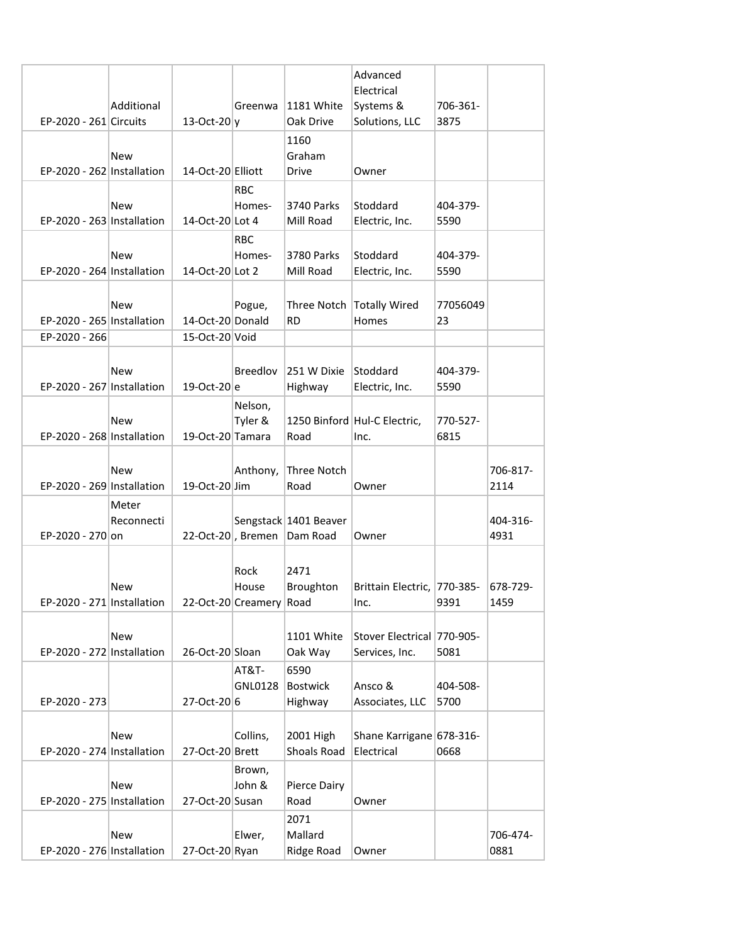| EP-2020 - 261 Circuits     | Additional          | 13-Oct-20 $ y $   | Greenwa                                  | 1181 White<br>Oak Drive    | Advanced<br>Electrical<br>Systems &<br>Solutions, LLC | 706-361-<br>3875 |                  |
|----------------------------|---------------------|-------------------|------------------------------------------|----------------------------|-------------------------------------------------------|------------------|------------------|
| EP-2020 - 262 Installation | New                 | 14-Oct-20 Elliott |                                          | 1160<br>Graham<br>Drive    | Owner                                                 |                  |                  |
|                            |                     |                   | <b>RBC</b>                               |                            |                                                       |                  |                  |
| EP-2020 - 263 Installation | New                 | 14-Oct-20 Lot 4   | Homes-                                   | 3740 Parks<br>Mill Road    | Stoddard<br>Electric, Inc.                            | 404-379-<br>5590 |                  |
|                            | New                 |                   | <b>RBC</b>                               | 3780 Parks                 | Stoddard                                              | 404-379-         |                  |
| EP-2020 - 264 Installation |                     | 14-Oct-20 Lot 2   | Homes-                                   | Mill Road                  | Electric, Inc.                                        | 5590             |                  |
| EP-2020 - 265 Installation | New                 | 14-Oct-20 Donald  | Pogue,                                   | Three Notch<br><b>RD</b>   | Totally Wired<br>Homes                                | 77056049<br>23   |                  |
| EP-2020 - 266              |                     | 15-Oct-20 Void    |                                          |                            |                                                       |                  |                  |
| EP-2020 - 267 Installation | New                 | 19-Oct-20 e       | Breedlov                                 | 251 W Dixie<br>Highway     | Stoddard<br>Electric, Inc.                            | 404-379-<br>5590 |                  |
|                            |                     |                   | Nelson,                                  |                            |                                                       |                  |                  |
| EP-2020 - 268 Installation | New                 | 19-Oct-20 Tamara  | Tyler &                                  | Road                       | 1250 Binford Hul-C Electric,<br>Inc.                  | 770-527-<br>6815 |                  |
|                            |                     |                   |                                          |                            |                                                       |                  |                  |
| EP-2020 - 269 Installation | New                 | 19-Oct-20 Jim     | Anthony,                                 | Three Notch<br>Road        | Owner                                                 |                  | 706-817-<br>2114 |
|                            | Meter<br>Reconnecti |                   |                                          | Sengstack 1401 Beaver      |                                                       |                  | 404-316-         |
| EP-2020 - 270 on           |                     |                   | 22-Oct-20, Bremen                        | Dam Road                   | Owner                                                 |                  | 4931             |
| EP-2020 - 271 Installation | New                 |                   | Rock<br>House<br>22-Oct-20 Creamery Road | 2471<br>Broughton          | Brittain Electric, 770-385-                           | 9391             | 678-729-<br>1459 |
|                            |                     |                   |                                          |                            | Inc.                                                  |                  |                  |
| EP-2020 - 272 Installation | <b>New</b>          | 26-Oct-20 Sloan   |                                          | 1101 White<br>Oak Way      | Stover Electrical 770-905-<br>Services, Inc.          | 5081             |                  |
|                            |                     |                   | AT&T-                                    | 6590                       |                                                       |                  |                  |
| EP-2020 - 273              |                     | 27-Oct-2016       | GNL0128                                  | <b>Bostwick</b><br>Highway | Ansco &<br>Associates, LLC                            | 404-508-<br>5700 |                  |
|                            |                     |                   |                                          |                            |                                                       |                  |                  |
| EP-2020 - 274 Installation | New                 | 27-Oct-20 Brett   | Collins,                                 | 2001 High<br>Shoals Road   | Shane Karrigane 678-316-<br>Electrical                | 0668             |                  |
|                            |                     |                   | Brown,                                   |                            |                                                       |                  |                  |
|                            | New                 |                   | John &                                   | <b>Pierce Dairy</b>        |                                                       |                  |                  |
| EP-2020 - 275 Installation |                     | 27-Oct-20 Susan   |                                          | Road<br>2071               | Owner                                                 |                  |                  |
|                            | New                 |                   | Elwer,                                   | Mallard                    |                                                       |                  | 706-474-         |
| EP-2020 - 276 Installation |                     | 27-Oct-20 Ryan    |                                          | Ridge Road                 | Owner                                                 |                  | 0881             |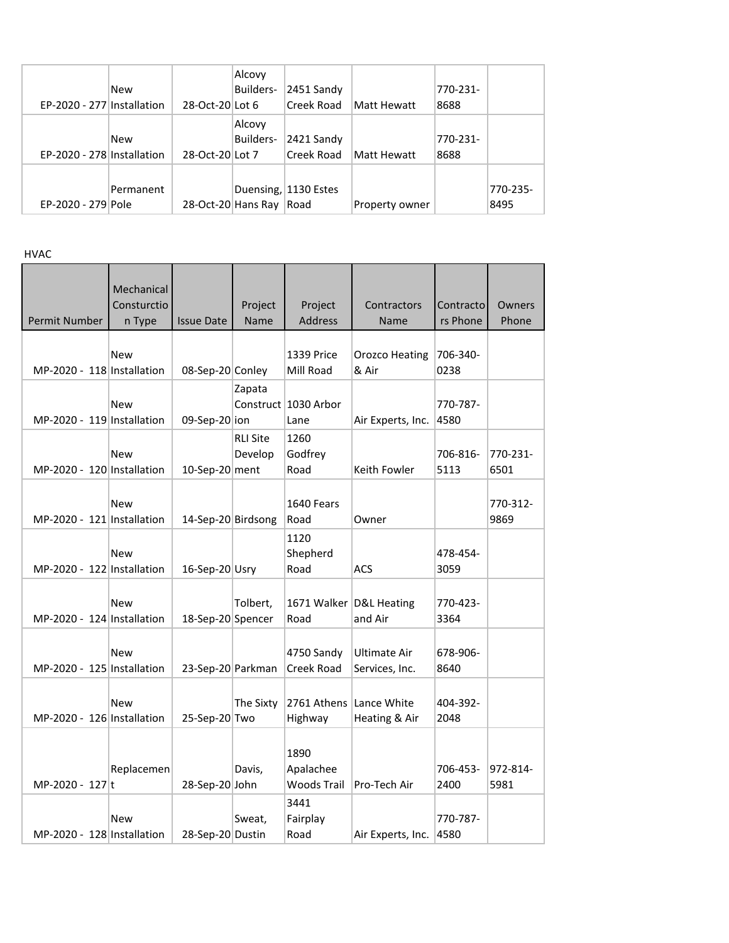| EP-2020 - 277 Installation | <b>New</b> | 28-Oct-20 Lot 6 | Alcovy<br>Builders- | 2451 Sandy<br>Creek Road | Matt Hewatt    | 770-231-<br>8688 |          |
|----------------------------|------------|-----------------|---------------------|--------------------------|----------------|------------------|----------|
|                            |            |                 |                     |                          |                |                  |          |
|                            |            |                 | Alcovy              |                          |                |                  |          |
|                            | <b>New</b> |                 | Builders-           | 2421 Sandy               |                | 770-231-         |          |
| EP-2020 - 278 Installation |            | 28-Oct-20 Lot 7 |                     | Creek Road               | Matt Hewatt    | 8688             |          |
|                            |            |                 |                     |                          |                |                  |          |
|                            | Permanent  |                 |                     | Duensing, 1130 Estes     |                |                  | 770-235- |
| EP-2020 - 279 Pole         |            |                 | 28-Oct-20 Hans Ray  | Road                     | Property owner |                  | 8495     |

HVAC

| <b>Permit Number</b>       | Mechanical<br>Consturctio<br>n Type | <b>Issue Date</b>  | Project<br>Name | Project<br><b>Address</b>               | Contractors<br>Name                | Contracto<br>rs Phone | Owners<br>Phone  |
|----------------------------|-------------------------------------|--------------------|-----------------|-----------------------------------------|------------------------------------|-----------------------|------------------|
|                            | <b>New</b>                          |                    |                 | 1339 Price                              | <b>Orozco Heating</b>              | 706-340-              |                  |
| MP-2020 - 118 Installation |                                     | 08-Sep-20 Conley   |                 | Mill Road                               | & Air                              | 0238                  |                  |
| MP-2020 - 119 Installation | <b>New</b>                          | 09-Sep-20 ion      | Zapata          | Construct 1030 Arbor<br>Lane            | Air Experts, Inc.                  | 770-787-<br>4580      |                  |
|                            |                                     |                    | <b>RLI Site</b> | 1260                                    |                                    |                       |                  |
| MP-2020 - 120 Installation | <b>New</b>                          | 10-Sep-20 ment     | Develop         | Godfrey<br>Road                         | Keith Fowler                       | 706-816-<br>5113      | 770-231-<br>6501 |
| MP-2020 - 121 Installation | <b>New</b>                          | 14-Sep-20 Birdsong |                 | 1640 Fears<br>Road                      | Owner                              |                       | 770-312-<br>9869 |
| MP-2020 - 122 Installation | <b>New</b>                          | 16-Sep-20 Usry     |                 | 1120<br>Shepherd<br>Road                | ACS                                | 478-454-<br>3059      |                  |
| MP-2020 - 124 Installation | <b>New</b>                          | 18-Sep-20 Spencer  | Tolbert,        | Road                                    | 1671 Walker D&L Heating<br>and Air | 770-423-<br>3364      |                  |
| MP-2020 - 125 Installation | <b>New</b>                          | 23-Sep-20 Parkman  |                 | 4750 Sandy<br>Creek Road                | Ultimate Air<br>Services, Inc.     | 678-906-<br>8640      |                  |
| MP-2020 - 126 Installation | <b>New</b>                          | 25-Sep-20 Two      | The Sixty       | 2761 Athens Lance White<br>Highway      | Heating & Air                      | 404-392-<br>2048      |                  |
| MP-2020 - 127 t            | Replacemen                          | 28-Sep-20 John     | Davis,          | 1890<br>Apalachee<br><b>Woods Trail</b> | Pro-Tech Air                       | 706-453-<br>2400      | 972-814-<br>5981 |
| MP-2020 - 128 Installation | <b>New</b>                          | 28-Sep-20 Dustin   | Sweat,          | 3441<br>Fairplay<br>Road                | Air Experts, Inc.                  | 770-787-<br>4580      |                  |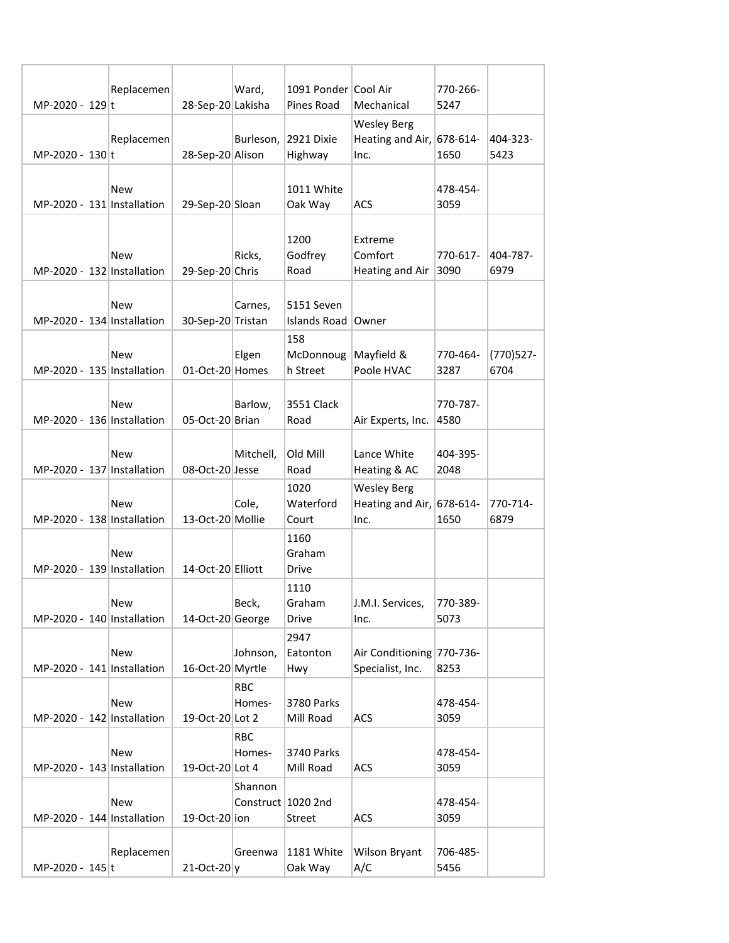|                            | Replacemen |                   | Ward,      | 1091 Ponder Cool Air    |                              | 770-266- |            |
|----------------------------|------------|-------------------|------------|-------------------------|------------------------------|----------|------------|
| MP-2020 - 129 t            |            | 28-Sep-20 Lakisha |            | Pines Road              | Mechanical                   | 5247     |            |
|                            |            |                   |            |                         | <b>Wesley Berg</b>           |          |            |
|                            | Replacemen |                   | Burleson,  | 2921 Dixie              | Heating and Air, $678-614$ - |          | 404-323-   |
| MP-2020 - 130 t            |            | 28-Sep-20 Alison  |            | Highway                 | Inc.                         | 1650     | 5423       |
|                            |            |                   |            |                         |                              |          |            |
|                            | New        |                   |            | 1011 White              |                              | 478-454- |            |
| MP-2020 - 131 Installation |            | 29-Sep-20 Sloan   |            | Oak Way                 | ACS                          | 3059     |            |
|                            |            |                   |            |                         |                              |          |            |
|                            | New        |                   | Ricks,     | 1200<br>Godfrey         | Extreme<br>Comfort           | 770-617- | 404-787-   |
| MP-2020 - 132 Installation |            | 29-Sep-20 Chris   |            | Road                    | Heating and Air              | 3090     | 6979       |
|                            |            |                   |            |                         |                              |          |            |
|                            | New        |                   | Carnes,    | 5151 Seven              |                              |          |            |
| MP-2020 - 134 Installation |            | 30-Sep-20 Tristan |            | Islands Road            | Owner                        |          |            |
|                            |            |                   |            | 158                     |                              |          |            |
|                            | New        |                   | Elgen      | McDonnoug               | Mayfield &                   | 770-464- | (770) 527- |
| MP-2020 - 135 Installation |            | 01-Oct-20 Homes   |            | h Street                | Poole HVAC                   | 3287     | 6704       |
|                            |            |                   |            |                         |                              |          |            |
|                            | New        |                   | Barlow,    | 3551 Clack              |                              | 770-787- |            |
| MP-2020 - 136 Installation |            | 05-Oct-20 Brian   |            | Road                    | Air Experts, Inc.            | 4580     |            |
|                            |            |                   |            |                         |                              |          |            |
|                            | New        |                   | Mitchell,  | Old Mill                | Lance White                  | 404-395- |            |
| MP-2020 - 137 Installation |            | 08-Oct-20 Jesse   |            | Road                    | Heating & AC                 | 2048     |            |
|                            |            |                   |            | 1020                    | <b>Wesley Berg</b>           |          |            |
|                            | New        |                   | Cole,      | Waterford               | Heating and Air, $678-614$ - |          | 770-714-   |
| MP-2020 - 138 Installation |            | 13-Oct-20 Mollie  |            | Court                   | Inc.                         | 1650     | 6879       |
|                            |            |                   |            | 1160                    |                              |          |            |
|                            | New        |                   |            | Graham                  |                              |          |            |
| MP-2020 - 139 Installation |            | 14-Oct-20 Elliott |            | Drive                   |                              |          |            |
|                            |            |                   |            | 1110                    |                              |          |            |
|                            | New        |                   | Beck,      | Graham                  | J.M.I. Services,             | 770-389- |            |
| MP-2020 - 140 Installation |            | 14-Oct-20 George  |            | <b>Drive</b>            | Inc.                         | 5073     |            |
|                            |            |                   |            | 2947                    |                              |          |            |
|                            | <b>New</b> |                   | Johnson,   | Eatonton                | Air Conditioning 770-736-    |          |            |
| MP-2020 - 141 Installation |            | 16-Oct-20 Myrtle  |            | Hwy                     | Specialist, Inc.             | 8253     |            |
|                            |            |                   | <b>RBC</b> |                         |                              | 478-454- |            |
| MP-2020 - 142 Installation | New        | 19-Oct-20 Lot 2   | Homes-     | 3780 Parks<br>Mill Road | ACS                          | 3059     |            |
|                            |            |                   | <b>RBC</b> |                         |                              |          |            |
|                            | <b>New</b> |                   | Homes-     | 3740 Parks              |                              | 478-454- |            |
| MP-2020 - 143 Installation |            | 19-Oct-20 Lot 4   |            | Mill Road               | <b>ACS</b>                   | 3059     |            |
|                            |            |                   | Shannon    |                         |                              |          |            |
|                            | New        |                   |            | Construct 1020 2nd      |                              | 478-454- |            |
| MP-2020 - 144 Installation |            | 19-Oct-20 ion     |            | Street                  | ACS                          | 3059     |            |
|                            |            |                   |            |                         |                              |          |            |
|                            | Replacemen |                   | Greenwa    | 1181 White              | Wilson Bryant                | 706-485- |            |
| MP-2020 - 145 t            |            | $21-Oct-20$       |            | Oak Way                 | A/C                          | 5456     |            |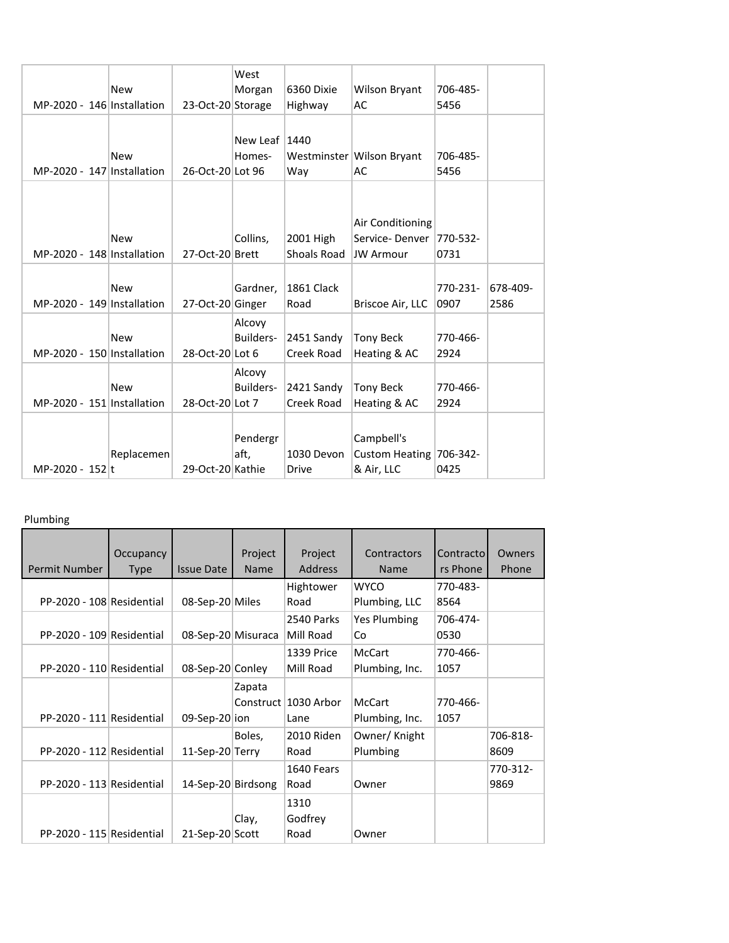|                            |            |                   | West            |             |                           |          |          |
|----------------------------|------------|-------------------|-----------------|-------------|---------------------------|----------|----------|
|                            | <b>New</b> |                   | Morgan          | 6360 Dixie  | Wilson Bryant             | 706-485- |          |
| MP-2020 - 146 Installation |            | 23-Oct-20 Storage |                 | Highway     | AC                        | 5456     |          |
|                            |            |                   |                 |             |                           |          |          |
|                            |            |                   | New Leaf $1440$ |             |                           |          |          |
|                            | <b>New</b> |                   | Homes-          |             | Westminster Wilson Bryant | 706-485- |          |
| MP-2020 - 147 Installation |            | 26-Oct-20 Lot 96  |                 | Way         | AC                        | 5456     |          |
|                            |            |                   |                 |             |                           |          |          |
|                            |            |                   |                 |             |                           |          |          |
|                            |            |                   |                 |             | Air Conditioning          |          |          |
|                            | <b>New</b> |                   | Collins,        | 2001 High   | Service-Denver            | 770-532- |          |
| MP-2020 - 148 Installation |            | 27-Oct-20 Brett   |                 | Shoals Road | <b>JW Armour</b>          | 0731     |          |
|                            |            |                   |                 |             |                           |          |          |
|                            | <b>New</b> |                   | Gardner,        | 1861 Clack  |                           | 770-231- | 678-409- |
| MP-2020 - 149 Installation |            |                   |                 | Road        | Briscoe Air, LLC          | 0907     | 2586     |
|                            |            | 27-Oct-20 Ginger  |                 |             |                           |          |          |
|                            |            |                   | Alcovy          |             |                           |          |          |
|                            | <b>New</b> |                   | Builders-       | 2451 Sandy  | <b>Tony Beck</b>          | 770-466- |          |
| MP-2020 - 150 Installation |            | 28-Oct-20 Lot 6   |                 | Creek Road  | Heating & AC              | 2924     |          |
|                            |            |                   | Alcovy          |             |                           |          |          |
|                            | <b>New</b> |                   | Builders-       | 2421 Sandy  | <b>Tony Beck</b>          | 770-466- |          |
| MP-2020 - 151 Installation |            | 28-Oct-20 Lot 7   |                 | Creek Road  | Heating & AC              | 2924     |          |
|                            |            |                   |                 |             |                           |          |          |
|                            |            |                   | Pendergr        |             | Campbell's                |          |          |
|                            | Replacemen |                   | aft,            | 1030 Devon  | Custom Heating 706-342-   |          |          |
| MP-2020 - 152 t            |            | 29-Oct-20 Kathie  |                 | Drive       | & Air, LLC                | 0425     |          |
|                            |            |                   |                 |             |                           |          |          |

## Plumbing

| Permit Number             | Occupancy<br><b>Type</b> | <b>Issue Date</b>  | Project<br><b>Name</b> | Project<br><b>Address</b> | Contractors<br><b>Name</b> | Contracto<br>rs Phone | Owners<br>Phone |
|---------------------------|--------------------------|--------------------|------------------------|---------------------------|----------------------------|-----------------------|-----------------|
|                           |                          |                    |                        | Hightower                 | WYCO                       | 770-483-              |                 |
| PP-2020 - 108 Residential |                          | 08-Sep-20 Miles    |                        | Road                      | Plumbing, LLC              | 8564                  |                 |
|                           |                          |                    |                        | 2540 Parks                | Yes Plumbing               | 706-474-              |                 |
| PP-2020 - 109 Residential |                          | 08-Sep-20 Misuraca |                        | Mill Road                 | Co                         | 0530                  |                 |
|                           |                          |                    |                        | 1339 Price                | McCart                     | 770-466-              |                 |
| PP-2020 - 110 Residential |                          | 08-Sep-20 Conley   |                        | Mill Road                 | Plumbing, Inc.             | 1057                  |                 |
|                           |                          |                    | Zapata                 |                           |                            |                       |                 |
|                           |                          |                    |                        | Construct 1030 Arbor      | McCart                     | 770-466-              |                 |
| PP-2020 - 111 Residential |                          | 09-Sep-20 ion      |                        | Lane                      | Plumbing, Inc.             | 1057                  |                 |
|                           |                          |                    | Boles,                 | 2010 Riden                | Owner/ Knight              |                       | 706-818-        |
| PP-2020 - 112 Residential |                          | 11-Sep-20 Terry    |                        | Road                      | Plumbing                   |                       | 8609            |
|                           |                          |                    |                        | 1640 Fears                |                            |                       | 770-312-        |
| PP-2020 - 113 Residential |                          | 14-Sep-20 Birdsong |                        | Road                      | Owner                      |                       | 9869            |
|                           |                          |                    |                        | 1310                      |                            |                       |                 |
|                           |                          |                    | Clay,                  | Godfrey                   |                            |                       |                 |
| PP-2020 - 115 Residential |                          | 21-Sep-20 Scott    |                        | Road                      | Owner                      |                       |                 |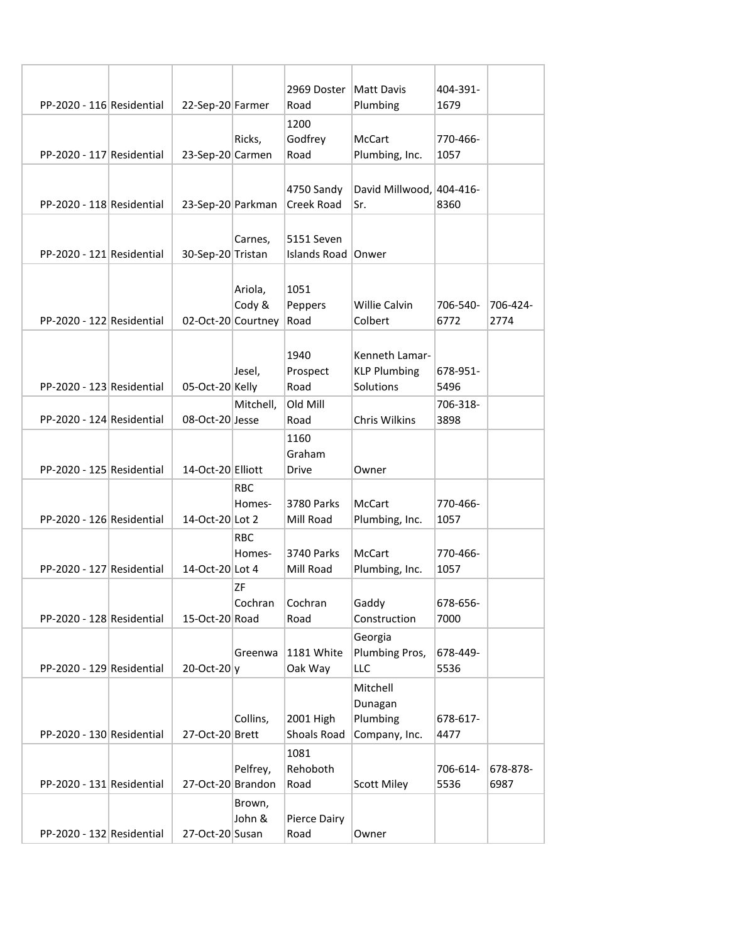|                           |                    |                      | 2969 Doster   Matt Davis           |                                 | 404-391-         |                  |
|---------------------------|--------------------|----------------------|------------------------------------|---------------------------------|------------------|------------------|
| PP-2020 - 116 Residential | 22-Sep-20 Farmer   |                      | Road                               | Plumbing                        | 1679             |                  |
|                           |                    |                      | 1200                               |                                 |                  |                  |
| PP-2020 - 117 Residential |                    | Ricks,               | Godfrey<br>Road                    | <b>McCart</b>                   | 770-466-<br>1057 |                  |
|                           | 23-Sep-20 Carmen   |                      |                                    | Plumbing, Inc.                  |                  |                  |
|                           |                    |                      | 4750 Sandy                         | David Millwood, 404-416-        |                  |                  |
| PP-2020 - 118 Residential | 23-Sep-20 Parkman  |                      | Creek Road                         | Sr.                             | 8360             |                  |
|                           |                    |                      |                                    |                                 |                  |                  |
| PP-2020 - 121 Residential | 30-Sep-20 Tristan  | Carnes,              | 5151 Seven<br>Islands Road   Onwer |                                 |                  |                  |
|                           |                    |                      |                                    |                                 |                  |                  |
|                           |                    | Ariola,              | 1051                               |                                 |                  |                  |
| PP-2020 - 122 Residential | 02-Oct-20 Courtney | Cody &               | Peppers<br>Road                    | <b>Willie Calvin</b><br>Colbert | 706-540-<br>6772 | 706-424-<br>2774 |
|                           |                    |                      |                                    |                                 |                  |                  |
|                           |                    |                      | 1940                               | Kenneth Lamar-                  |                  |                  |
| PP-2020 - 123 Residential |                    | Jesel,               | Prospect<br>Road                   | <b>KLP Plumbing</b>             | 678-951-         |                  |
|                           | 05-Oct-20 Kelly    | Mitchell,            | Old Mill                           | Solutions                       | 5496<br>706-318- |                  |
| PP-2020 - 124 Residential | 08-Oct-20 Jesse    |                      | Road                               | Chris Wilkins                   | 3898             |                  |
|                           |                    |                      | 1160                               |                                 |                  |                  |
| PP-2020 - 125 Residential | 14-Oct-20 Elliott  |                      | Graham<br>Drive                    | Owner                           |                  |                  |
|                           |                    | <b>RBC</b>           |                                    |                                 |                  |                  |
|                           |                    | Homes-               | 3780 Parks                         | McCart                          | 770-466-         |                  |
| PP-2020 - 126 Residential | 14-Oct-20 Lot 2    |                      | Mill Road                          | Plumbing, Inc.                  | 1057             |                  |
|                           |                    | <b>RBC</b><br>Homes- | 3740 Parks                         | McCart                          | 770-466-         |                  |
| PP-2020 - 127 Residential | 14-Oct-20 Lot 4    |                      | Mill Road                          | Plumbing, Inc.                  | 1057             |                  |
|                           |                    | ΖF                   |                                    |                                 |                  |                  |
| PP-2020 - 128 Residential | 15-Oct-20 Road     | Cochran              | Cochran<br>Road                    | Gaddy<br>Construction           | 678-656-<br>7000 |                  |
|                           |                    |                      |                                    | Georgia                         |                  |                  |
|                           |                    | Greenwa              | 1181 White                         | Plumbing Pros,                  | 678-449-         |                  |
| PP-2020 - 129 Residential | $20$ -Oct-20 $ v $ |                      | Oak Way                            | LLC                             | 5536             |                  |
|                           |                    |                      |                                    | Mitchell                        |                  |                  |
|                           |                    | Collins,             | 2001 High                          | Dunagan<br>Plumbing             | 678-617-         |                  |
| PP-2020 - 130 Residential | 27-Oct-20 Brett    |                      | Shoals Road                        | Company, Inc.                   | 4477             |                  |
|                           |                    |                      | 1081                               |                                 |                  |                  |
| PP-2020 - 131 Residential | 27-Oct-20 Brandon  | Pelfrey,             | Rehoboth<br>Road                   | <b>Scott Miley</b>              | 706-614-<br>5536 | 678-878-<br>6987 |
|                           |                    | Brown,               |                                    |                                 |                  |                  |
|                           |                    | John &               | Pierce Dairy                       |                                 |                  |                  |
| PP-2020 - 132 Residential | 27-Oct-20 Susan    |                      | Road                               | Owner                           |                  |                  |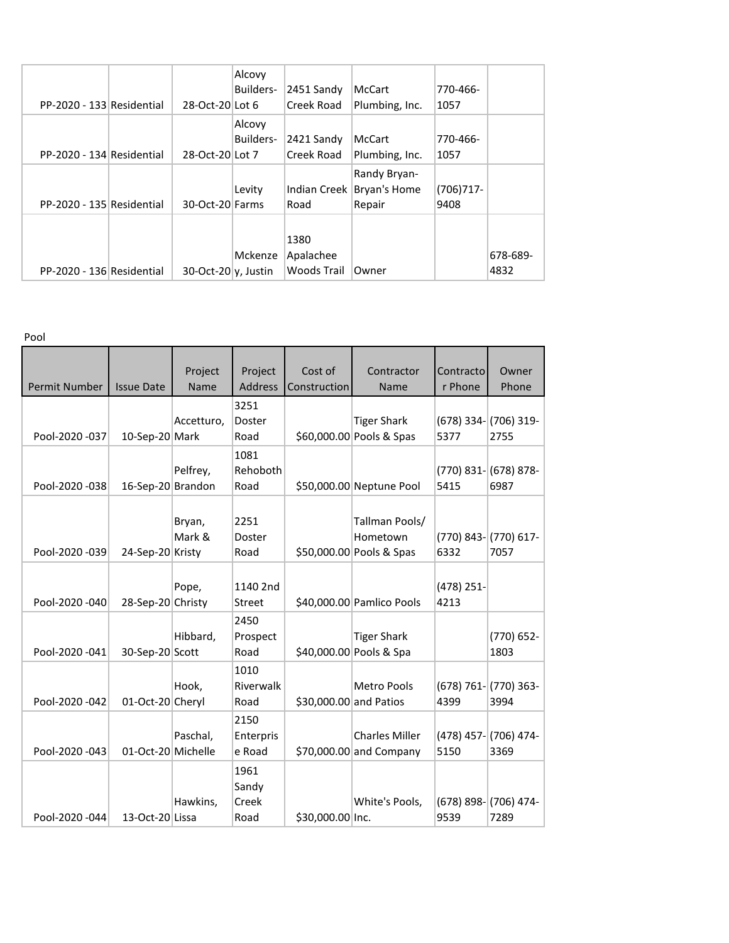|                           |                        | Alcovy    |                     |                |             |          |
|---------------------------|------------------------|-----------|---------------------|----------------|-------------|----------|
|                           |                        | Builders- | 2451 Sandy          | McCart         | 770-466-    |          |
| PP-2020 - 133 Residential | 28-Oct-20 Lot 6        |           | Creek Road          | Plumbing, Inc. | 1057        |          |
|                           |                        | Alcovy    |                     |                |             |          |
|                           |                        | Builders- | 2421 Sandy          | McCart         | 770-466-    |          |
| PP-2020 - 134 Residential | 28-Oct-20 Lot 7        |           | Creek Road          | Plumbing, Inc. | 1057        |          |
|                           |                        |           |                     | Randy Bryan-   |             |          |
|                           |                        | Levity    | <b>Indian Creek</b> | Bryan's Home   | $(706)717-$ |          |
| PP-2020 - 135 Residential | 30-Oct-20 Farms        |           | Road                | Repair         | 9408        |          |
|                           |                        |           |                     |                |             |          |
|                           |                        |           | 1380                |                |             |          |
|                           |                        | Mckenze   | Apalachee           |                |             | 678-689- |
| PP-2020 - 136 Residential | $30$ -Oct-20 v, Justin |           | Woods Trail         | Owner          |             | 4832     |

Pool

|                | <b>Issue Date</b>  | Project<br>Name | Project        | Cost of                | Contractor<br>Name                             | Contracto<br>r Phone | Owner<br>Phone                    |
|----------------|--------------------|-----------------|----------------|------------------------|------------------------------------------------|----------------------|-----------------------------------|
| Permit Number  |                    |                 | Address        | Construction           |                                                |                      |                                   |
|                |                    |                 | 3251           |                        |                                                |                      |                                   |
| Pool-2020 -037 | 10-Sep-20 Mark     | Accetturo,      | Doster<br>Road |                        | <b>Tiger Shark</b><br>\$60,000.00 Pools & Spas | 5377                 | $(678)$ 334- $(706)$ 319-<br>2755 |
|                |                    |                 | 1081           |                        |                                                |                      |                                   |
|                |                    | Pelfrey,        | Rehoboth       |                        |                                                |                      | $(770)$ 831- $(678)$ 878-         |
| Pool-2020 -038 | 16-Sep-20 Brandon  |                 | Road           |                        | \$50,000.00 Neptune Pool                       | 5415                 | 6987                              |
|                |                    |                 |                |                        |                                                |                      |                                   |
|                |                    | Bryan,          | 2251           |                        | Tallman Pools/                                 |                      |                                   |
|                |                    | Mark &          | Doster         |                        | Hometown                                       |                      | $(770)$ 843- $(770)$ 617-         |
| Pool-2020 -039 | 24-Sep-20 Kristy   |                 | Road           |                        | \$50,000.00 Pools & Spas                       | 6332                 | 7057                              |
|                |                    |                 |                |                        |                                                |                      |                                   |
|                |                    | Pope,           | 1140 2nd       |                        |                                                | $(478)$ 251-         |                                   |
| Pool-2020 -040 | 28-Sep-20 Christy  |                 | Street         |                        | \$40,000.00 Pamlico Pools                      | 4213                 |                                   |
|                |                    |                 | 2450           |                        |                                                |                      |                                   |
|                |                    | Hibbard,        | Prospect       |                        | <b>Tiger Shark</b>                             |                      | (770) 652-                        |
| Pool-2020 -041 | 30-Sep-20 Scott    |                 | Road           |                        | \$40,000.00 Pools & Spa                        |                      | 1803                              |
|                |                    |                 | 1010           |                        |                                                |                      |                                   |
|                |                    | Hook,           | Riverwalk      |                        | <b>Metro Pools</b>                             |                      | $(678) 761 - (770) 363 -$         |
| Pool-2020 -042 | 01-Oct-20 Cheryl   |                 | Road           | \$30,000.00 and Patios |                                                | 4399                 | 3994                              |
|                |                    |                 | 2150           |                        |                                                |                      |                                   |
|                |                    | Paschal,        | Enterpris      |                        | <b>Charles Miller</b>                          |                      | (478) 457- (706) 474-             |
| Pool-2020 -043 | 01-Oct-20 Michelle |                 | e Road         |                        | \$70,000.00 and Company                        | 5150                 | 3369                              |
|                |                    |                 | 1961           |                        |                                                |                      |                                   |
|                |                    |                 | Sandy          |                        |                                                |                      |                                   |
|                |                    | Hawkins,        | Creek          |                        | White's Pools,                                 |                      | $(678)$ 898- $(706)$ 474-         |
| Pool-2020 -044 | 13-Oct-20 Lissa    |                 | Road           | \$30,000.00 Inc.       |                                                | 9539                 | 7289                              |